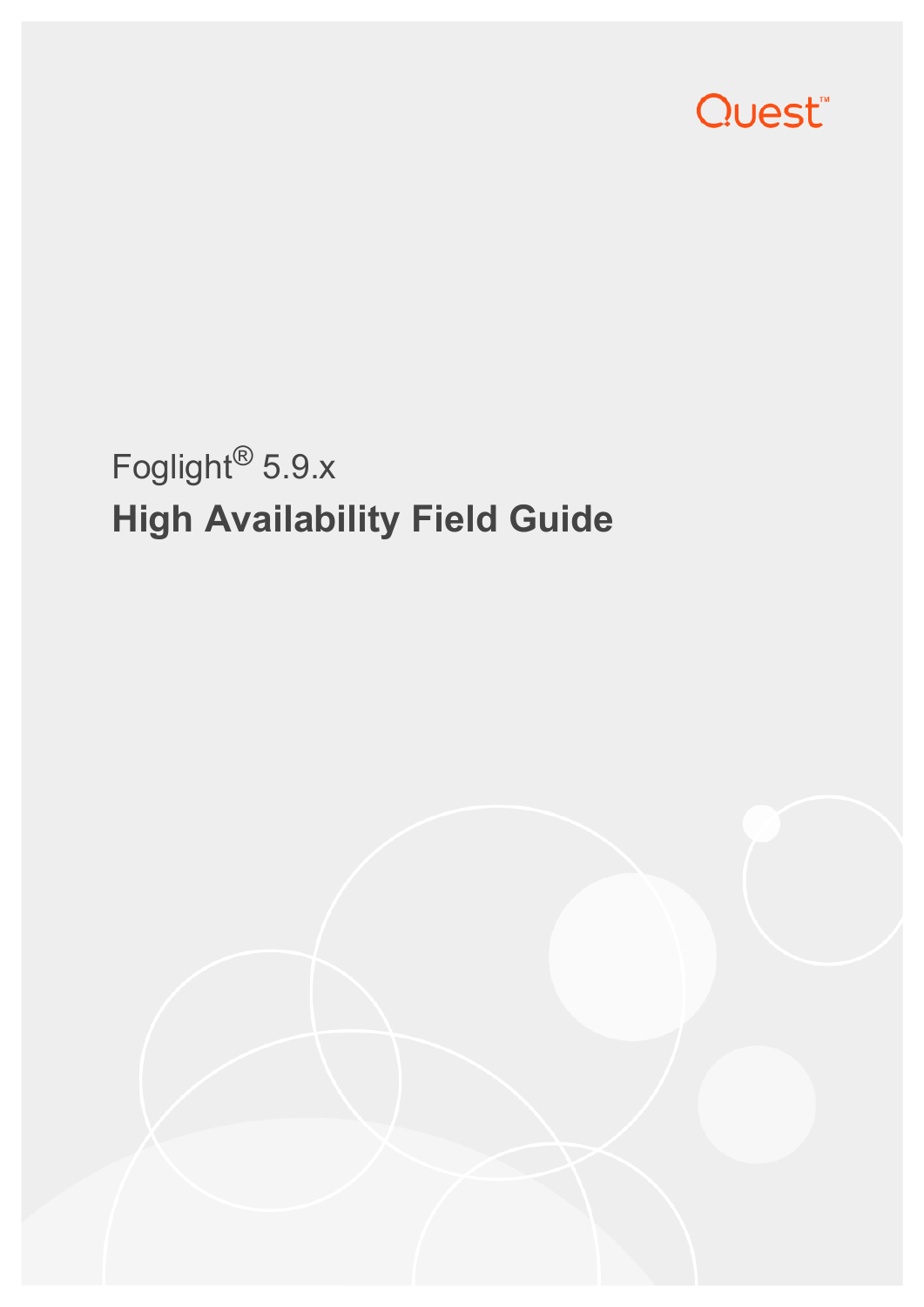

# Foglight® 5.9.x **High Availability Field Guide**

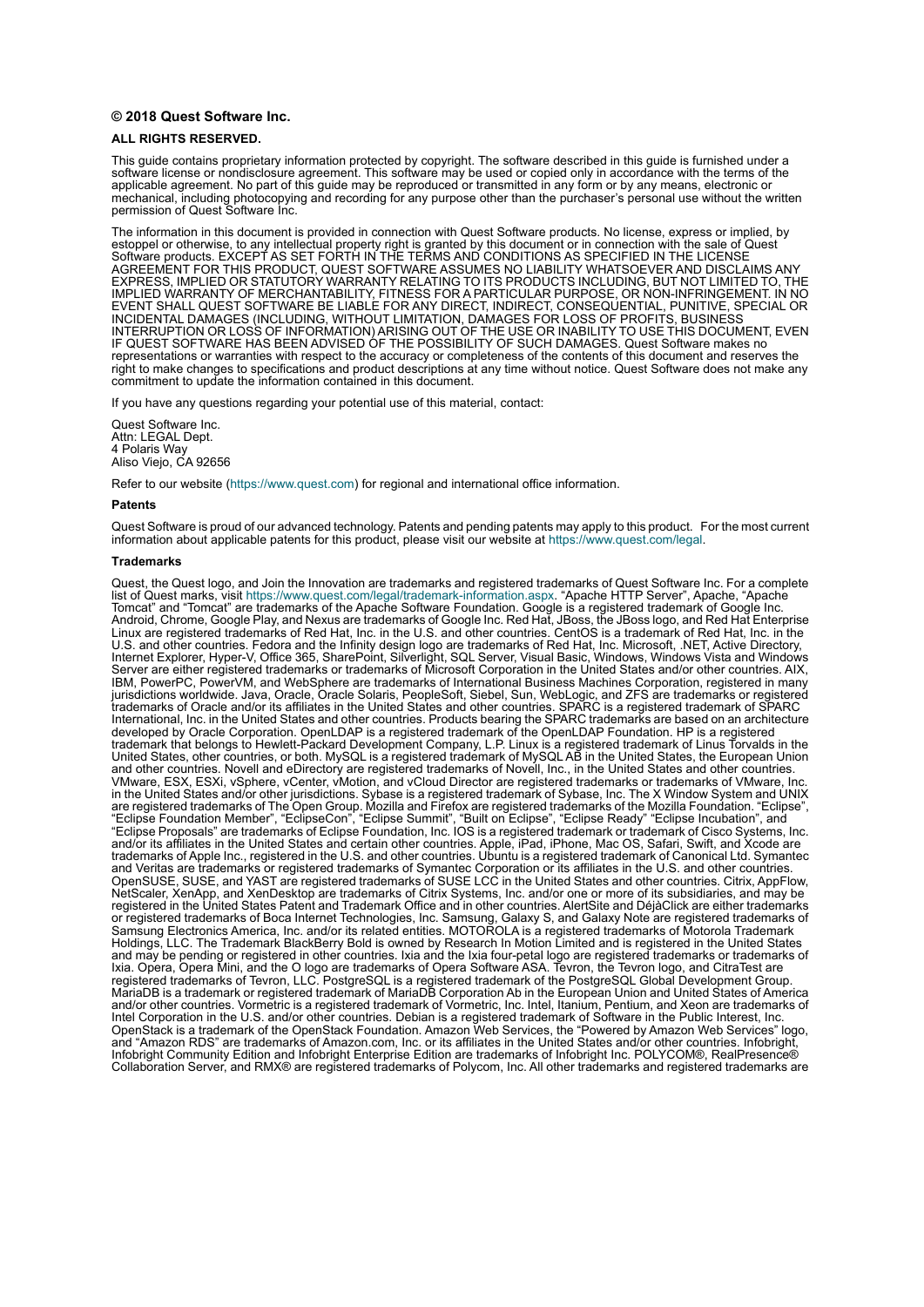#### **© 2018 Quest Software Inc.**

#### **ALL RIGHTS RESERVED.**

This guide contains proprietary information protected by copyright. The software described in this guide is furnished under a software license or nondisclosure agreement. This software may be used or copied only in accordance with the terms of the applicable agreement. No part of this guide may be reproduced or transmitted in any form or by any means, electronic or mechanical, including photocopying and recording for any purpose other than the purchaser's personal use without the written permission of Quest Software Inc.

The information in this document is provided in connection with Quest Software products. No license, express or implied, by estoppel or otherwise, to any intellectual property right is granted by this document or in connection with the sale of Quest<br>Software products. EXCEPT AS SET FORTH IN THE TERMS AND CONDITIONS AS SPECIFIED IN THE LICENSE<br>A EXPRESS, IMPLIED OR STATUTORY WARRANTY RELATING TO ITS PRODUCTS INCLUDING, BUT NOT LIMITED TO, THE IMPLIED WARRANTY OF MERCHANTABILITY, FITNESS FOR A PARTICULAR PURPOSE, OR NON-INFRINGEMENT. IN NO EVENT SHALL QUEST SOFTWARE BE LIABLE FOR ANY DIRECT, INDIRECT, CONSEQUENTIAL, PUNITIVE, SPECIAL OR INCIDENTAL DAMAGES (INCLUDING, WITHOUT LIMITATION, DAMAGES FOR LOSS OF PROFITS, BUSINESS<br>INTERRUPTION OR LOSS OF INFORMATION) ARISING OUT OF THE USE OR INABILITY TO USE THIS DOCUMENT, EVEN IF QUEST SOFTWARE HAS BEEN ADVISED OF THE POSSIBILITY OF SUCH DAMAGES. Quest Software makes no representations or warranties with respect to the accuracy or completeness of the contents of this document and reserves the right to make changes to specifications and product descriptions at any time without notice. Quest Software does not make any commitment to update the information contained in this document.

If you have any questions regarding your potential use of this material, contact:

Quest Software Inc. Attn: LEGAL Dept. 4 Polaris Way Aliso Viejo, CA 92656

Refer to our website [\(https://www.quest.com](https://www.quest.com)) for regional and international office information.

#### **Patents**

Quest Software is proud of our advanced technology. Patents and pending patents may apply to this product. For the most current information about applicable patents for this product, please visit our website at [https://www.quest.com/legal.](https://www.quest.com/legal)

#### **Trademarks**

Quest, the Quest logo, and Join the Innovation are trademarks and registered trademarks of Quest Software Inc. For a complete list of Quest marks, visit <https://www.quest.com/legal/trademark-information.aspx>. "Apache HTTP Server", Apache, "Apache<br>Tomcat" and "Tomcat" are trademarks of the Apache Software Foundation. Google is a registered tradema Android, Chrome, Google Play, and Nexus are trademarks of Google Inc. Red Hat, JBoss, the JBoss logo, and Red Hat Enterprise Linux are registered trademarks of Red Hat, Inc. in the U.S. and other countries. CentOS is a trademark of Red Hat, Inc. in the U.S. and other countries. Fedora and the Infinity design logo are trademarks of Red Hat, Inc. Microsoft, .NET, Active Directory, Internet Explorer, Hyper-V, Office 365, SharePoint, Silverlight, SQL Server, Visual Basic, Windows, Windows Vista and Windows Server are either registered trademarks or trademarks of Microsoft Corporation in the United States and/or other countries. AIX, IBM, PowerPC, PowerVM, and WebSphere are trademarks of International Business Machines Corporation, registered in many<br>jurisdictions worldwide. Java, Oracle, Oracle Solaris, PeopleSoft, Siebel, Sun, WebLogic, and ZFS are t trademarks of Oracle and/or its affiliates in the United States and other countries. SPARC is a registered trademark of SPARC<br>International, Inc. in the United States and other countries. Products bearing the SPARC tradema developed by Oracle Corporation. OpenLDAP is a registered trademark of the OpenLDAP Foundation. HP is a registered trademark that belongs to Hewlett-Packard Development Company, L.P. Linux is a registered trademark of Linus Torvalds in the United States, other countries, or both. MySQL is a registered trademark of MySQL AB in the United States, the European Union and other countries. Novell and eDirectory are registered trademarks of Novell, Inc., in the United States and other countries.<br>
VMware, ESX, ESXi, vSphere, vCenter, vMotion, and vCloud Director are registered trademarks o VMware, ESX, ESXi, vSphere, vCenter, vMotion, and vCloud Director are registered trademarks or trademarks of VMware, Inc.<br>in the United States and/or other jurisdictions. Sybase is a registered trademark of Sybase, Inc. Th "Eclipse Foundation Member", "EclipseCon", "Eclipse Summit", "Built on Eclipse", "Eclipse Ready" "Eclipse Incubation", and<br>"Eclipse Proposals" are trademarks of Eclipse Foundation, Inc. IOS is a registered trademark or tra trademarks of Apple Inc., registered in the U.S. and other countries. Ubuntu is a registered trademark of Canonical Ltd. Symantec<br>and Veritas are trademarks or registered trademarks of Symantec Corporation or its affiliate NetScaler, XenApp, and XenDesktop are trademarks of Citrix Systems, Inc. and/or one or more of its subsidiaries, and may be registered in the United States Patent and Trademark Office and in other countries. AlertSite and DéjàClick are either trademarks or registered trademarks of Boca Internet Technologies, Inc. Samsung, Galaxy S, and Galaxy Note are registered trademarks of Samsung Electronics America, Inc. and/or its related entities. MOTOROLA is a registered trademarks of Motorola Trademark<br>Holdings, LLC. The Trademark BlackBerry Bold is owned by Research In Motion Limited and is registered Ixia. Opera, Opera Mini, and the O logo are trademarks of Opera Software ASA. Tevron, the Tevron logo, and CitraTest are<br>registered trademarks of Tevron, LLC. PostgreSQL is a registered trademark of the PostgreSQL Global D and/or other countries. Vormetric is a registered trademark of Vormetric, Inc. Intel, Itanium, Pentium, and Xeon are trademarks of<br>Intel Corporation in the U.S. and/or other countries. Debian is a registered trademark of S OpenStack is a trademark of the OpenStack Foundation. Amazon Web Services, the "Powered by Amazon Web Services" logo, and "Amazon RDS" are trademarks of Amazon.com, Inc. or its affiliates in the United States and/or other countries. Infobright, Infobright Community Edition and Infobright Enterprise Edition are trademarks of Infobright Inc. POLYCOM®, RealPresence® Collaboration Server, and RMX® are registered trademarks of Polycom, Inc. All other trademarks and registered trademarks are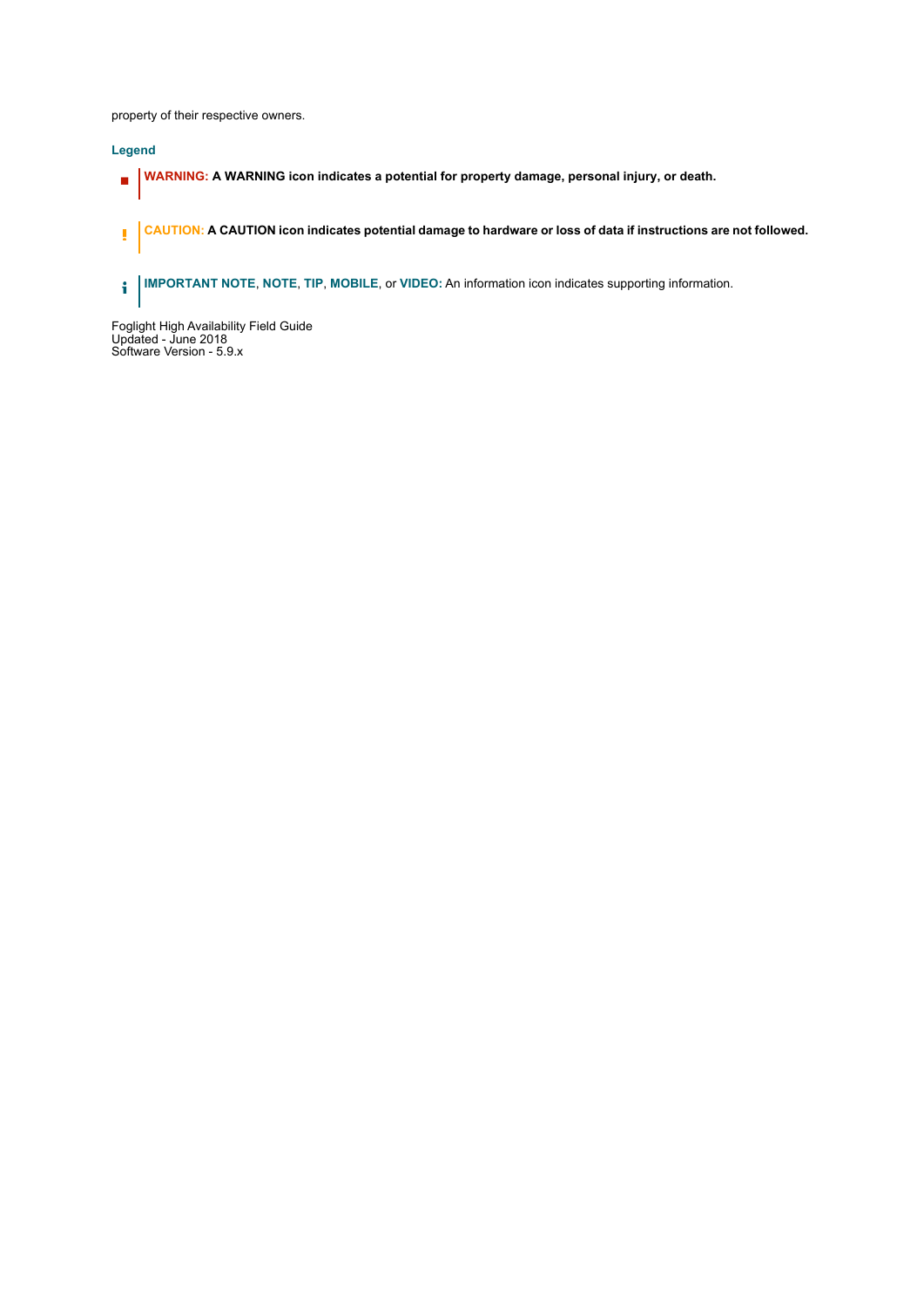property of their respective owners.

#### **Legend**

- **WARNING: A WARNING icon indicates a potential for property damage, personal injury, or death.**  $\blacksquare$
- **CAUTION: A CAUTION icon indicates potential damage to hardware or loss of data if instructions are not followed.** ţ
- **IMPORTANT NOTE**, **NOTE**, **TIP**, **MOBILE**, or **VIDEO:** An information icon indicates supporting information.

Foglight High Availability Field Guide Updated - June 2018 Software Version - 5.9.x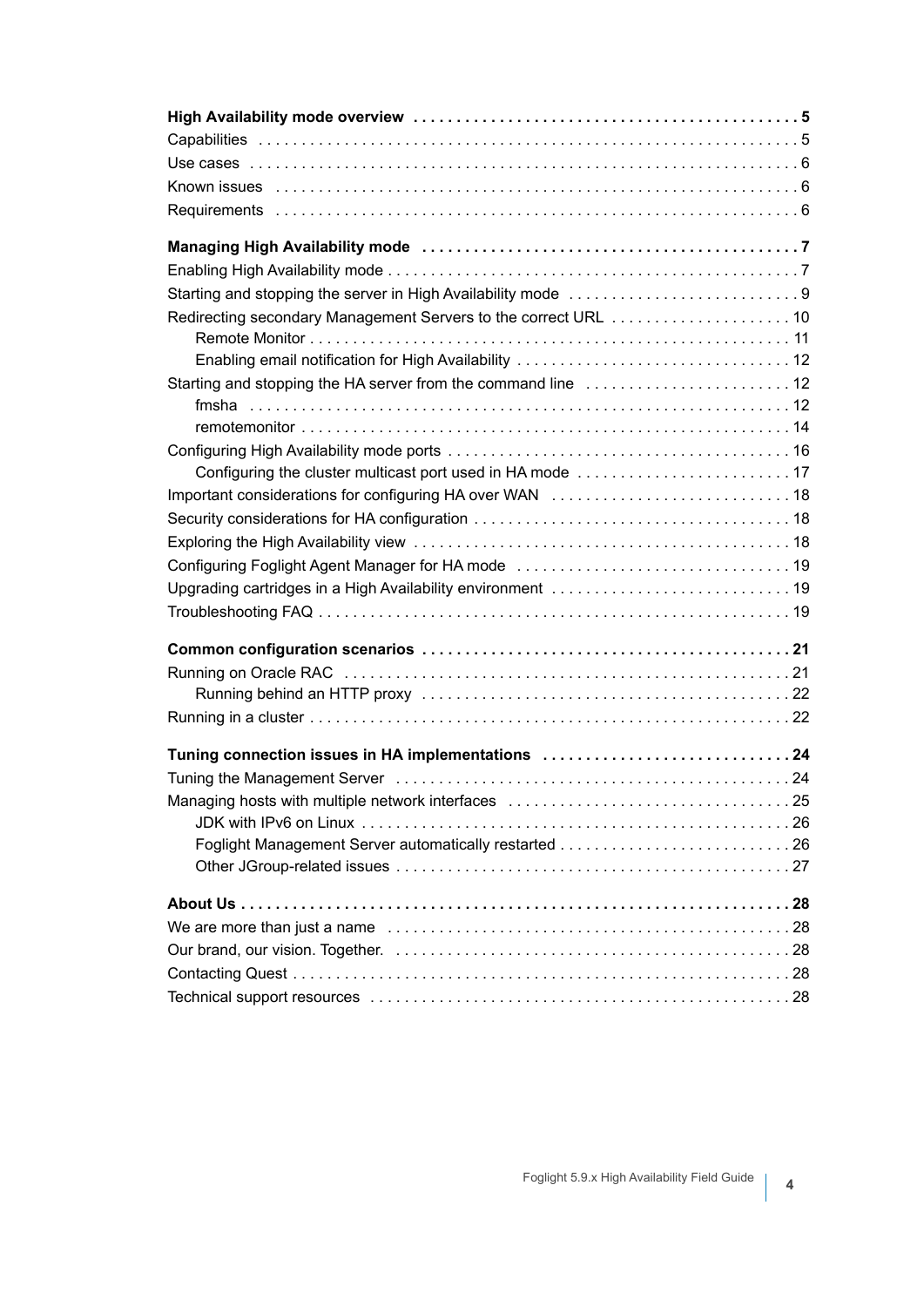| Redirecting secondary Management Servers to the correct URL  10 |  |
|-----------------------------------------------------------------|--|
|                                                                 |  |
|                                                                 |  |
| Starting and stopping the HA server from the command line  12   |  |
|                                                                 |  |
|                                                                 |  |
|                                                                 |  |
|                                                                 |  |
|                                                                 |  |
|                                                                 |  |
|                                                                 |  |
|                                                                 |  |
|                                                                 |  |
|                                                                 |  |
|                                                                 |  |
|                                                                 |  |
|                                                                 |  |
|                                                                 |  |
|                                                                 |  |
| Tuning connection issues in HA implementations 24               |  |
|                                                                 |  |
|                                                                 |  |
|                                                                 |  |
|                                                                 |  |
|                                                                 |  |
|                                                                 |  |
|                                                                 |  |
|                                                                 |  |
|                                                                 |  |
|                                                                 |  |
|                                                                 |  |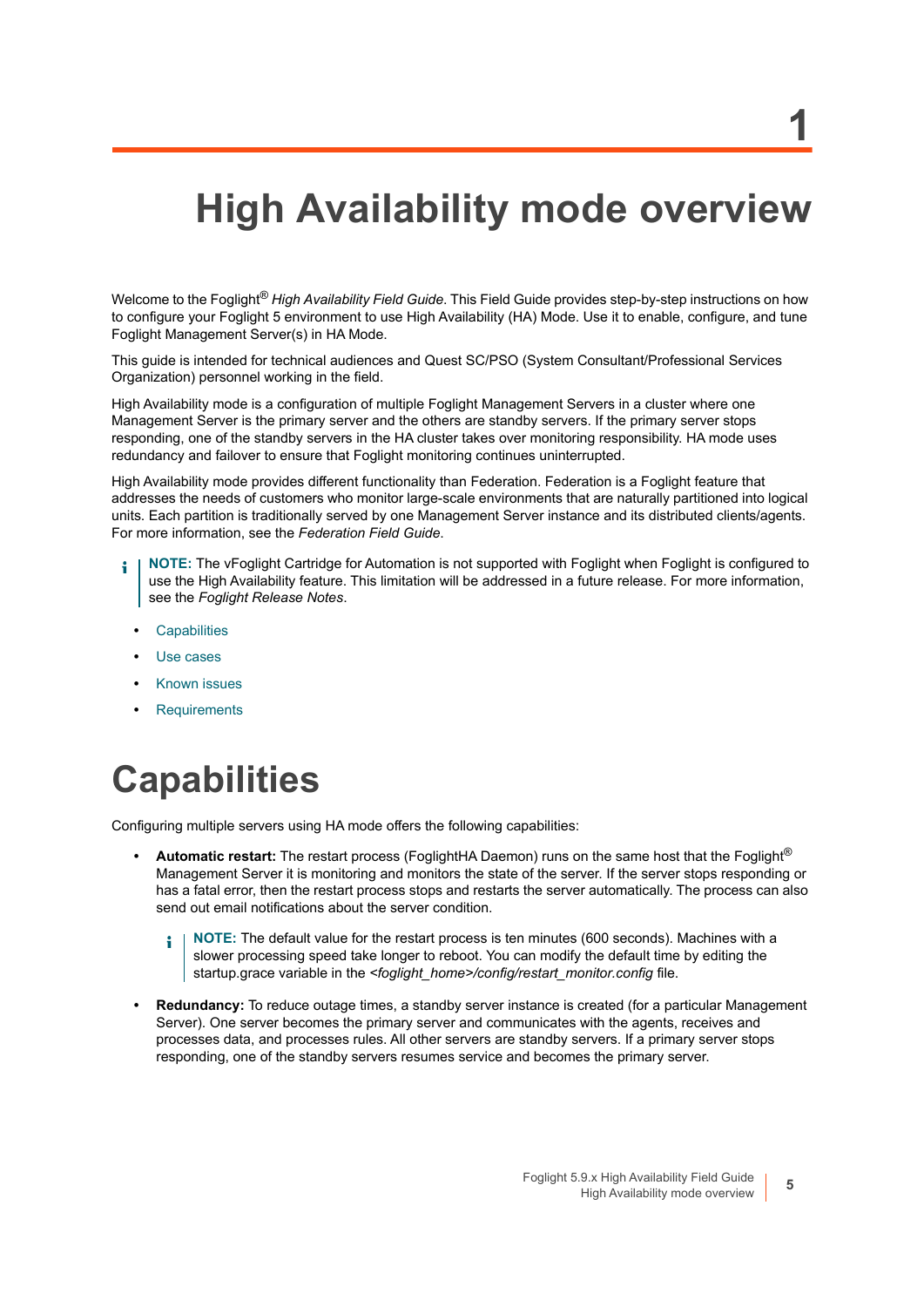## <span id="page-4-0"></span>**High Availability mode overview**

**1**

Welcome to the Foglight® *High Availability Field Guide*. This Field Guide provides step-by-step instructions on how to configure your Foglight 5 environment to use High Availability (HA) Mode. Use it to enable, configure, and tune Foglight Management Server(s) in HA Mode.

This guide is intended for technical audiences and Quest SC/PSO (System Consultant/Professional Services Organization) personnel working in the field.

High Availability mode is a configuration of multiple Foglight Management Servers in a cluster where one Management Server is the primary server and the others are standby servers. If the primary server stops responding, one of the standby servers in the HA cluster takes over monitoring responsibility. HA mode uses redundancy and failover to ensure that Foglight monitoring continues uninterrupted.

High Availability mode provides different functionality than Federation. Federation is a Foglight feature that addresses the needs of customers who monitor large-scale environments that are naturally partitioned into logical units. Each partition is traditionally served by one Management Server instance and its distributed clients/agents. For more information, see the *Federation Field Guide*.

- **NOTE:** The vFoglight Cartridge for Automation is not supported with Foglight when Foglight is configured to use the High Availability feature. This limitation will be addressed in a future release. For more information, see the *Foglight Release Notes*.
	- **•** [Capabilities](#page-4-1)
	- **•** [Use cases](#page-5-0)
	- **•** [Known issues](#page-5-1)
	- **•** [Requirements](#page-5-2)

## <span id="page-4-1"></span>**Capabilities**

Configuring multiple servers using HA mode offers the following capabilities:

- **Automatic restart:** The restart process (FoglightHA Daemon) runs on the same host that the Foglight® Management Server it is monitoring and monitors the state of the server. If the server stops responding or has a fatal error, then the restart process stops and restarts the server automatically. The process can also send out email notifications about the server condition.
	- **NOTE:** The default value for the restart process is ten minutes (600 seconds). Machines with a i slower processing speed take longer to reboot. You can modify the default time by editing the startup.grace variable in the *<foglight\_home>/config/restart\_monitor.config* file.
- **Redundancy:** To reduce outage times, a standby server instance is created (for a particular Management Server). One server becomes the primary server and communicates with the agents, receives and processes data, and processes rules. All other servers are standby servers. If a primary server stops responding, one of the standby servers resumes service and becomes the primary server.

**5**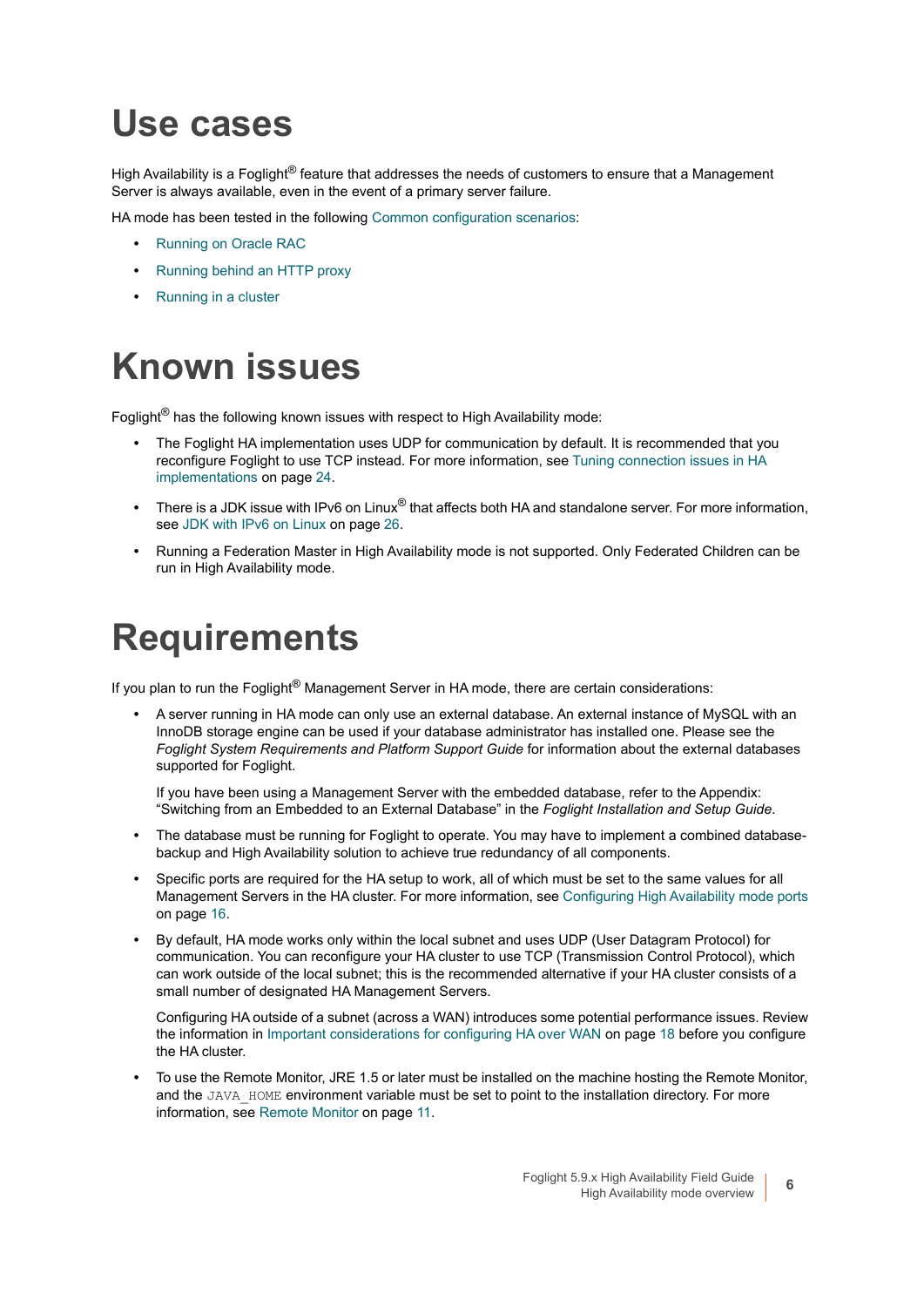### <span id="page-5-0"></span>**Use cases**

High Availability is a Foglight<sup>®</sup> feature that addresses the needs of customers to ensure that a Management Server is always available, even in the event of a primary server failure.

HA mode has been tested in the following [Common configuration scenarios](#page-20-2):

- **•** [Running on Oracle RAC](#page-20-3)
- **•** [Running behind an HTTP proxy](#page-21-2)
- **•** [Running in a cluster](#page-21-3)

### <span id="page-5-1"></span>**Known issues**

Foglight<sup>®</sup> has the following known issues with respect to High Availability mode:

- **•** The Foglight HA implementation uses UDP for communication by default. It is recommended that you reconfigure Foglight to use TCP instead. [For more information, see Tuning connection issues in HA](#page-23-2)  [implementations on page 24.](#page-23-2)
- **•** There is a JDK issue with IPv6 on Linux® that affects both HA and standalone server. [For more information,](#page-25-2)  [see JDK with IPv6 on Linux on page 26.](#page-25-2)
- **•** Running a Federation Master in High Availability mode is not supported. Only Federated Children can be run in High Availability mode.

### <span id="page-5-2"></span>**Requirements**

If you plan to run the Foglight® Management Server in HA mode, there are certain considerations:

**•** A server running in HA mode can only use an external database. An external instance of MySQL with an InnoDB storage engine can be used if your database administrator has installed one. Please see the *Foglight System Requirements and Platform Support Guide* for information about the external databases supported for Foglight.

If you have been using a Management Server with the embedded database, refer to the Appendix: "Switching from an Embedded to an External Database" in the *Foglight Installation and Setup Guide*.

- **•** The database must be running for Foglight to operate. You may have to implement a combined databasebackup and High Availability solution to achieve true redundancy of all components.
- **•** Specific ports are required for the HA setup to work, all of which must be set to the same values for all Management Servers in the HA cluster. [For more information, see Configuring High Availability mode ports](#page-15-1) [on page 16.](#page-15-1)
- **•** By default, HA mode works only within the local subnet and uses UDP (User Datagram Protocol) for communication. You can reconfigure your HA cluster to use TCP (Transmission Control Protocol), which can work outside of the local subnet; this is the recommended alternative if your HA cluster consists of a small number of designated HA Management Servers.

Configuring HA outside of a subnet (across a WAN) introduces some potential performance issues. Review the information in [Important considerations for configuring HA over WAN on page 18](#page-17-3) before you configure the HA cluster.

**•** To use the Remote Monitor, JRE 1.5 or later must be installed on the machine hosting the Remote Monitor, and the JAVA\_HOME environment variable must be set to point to the installation directory. For more [information, see Remote Monitor on page 11.](#page-10-1)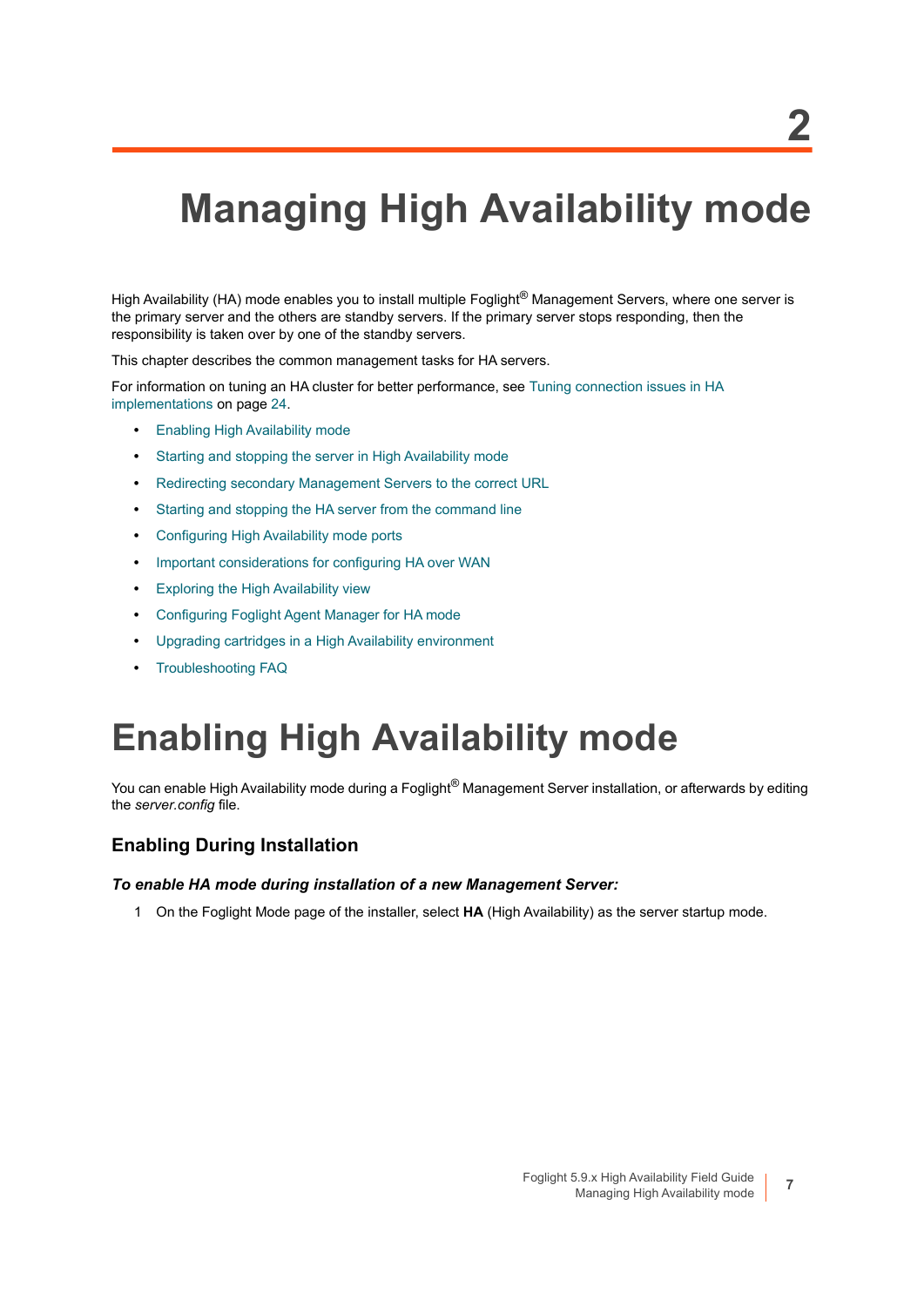# <span id="page-6-0"></span>**Managing High Availability mode**

High Availability (HA) mode enables you to install multiple Foglight<sup>®</sup> Management Servers, where one server is the primary server and the others are standby servers. If the primary server stops responding, then the responsibility is taken over by one of the standby servers.

This chapter describes the common management tasks for HA servers.

For information on tuning an HA cluster for better performance, see [Tuning connection issues in HA](#page-23-2)  [implementations on page 24.](#page-23-2)

- **•** [Enabling High Availability mode](#page-6-1)
- **•** [Starting and stopping the server in High Availability mode](#page-8-0)
- **•** [Redirecting secondary Management Servers to the correct URL](#page-9-0)
- **•** [Starting and stopping the HA server from the command line](#page-11-1)
- **•** [Configuring High Availability mode ports](#page-15-0)
- **•** [Important considerations for configuring HA over WAN](#page-17-0)
- **•** [Exploring the High Availability view](#page-17-2)
- **•** [Configuring Foglight Agent Manager for HA mode](#page-18-0)
- **•** [Upgrading cartridges in a High Availability environment](#page-18-1)
- **•** [Troubleshooting FAQ](#page-18-2)

## <span id="page-6-1"></span>**Enabling High Availability mode**

You can enable High Availability mode during a Foglight<sup>®</sup> Management Server installation, or afterwards by editing the *server.config* file.

#### **Enabling During Installation**

#### *To enable HA mode during installation of a new Management Server:*

1 On the Foglight Mode page of the installer, select **HA** (High Availability) as the server startup mode.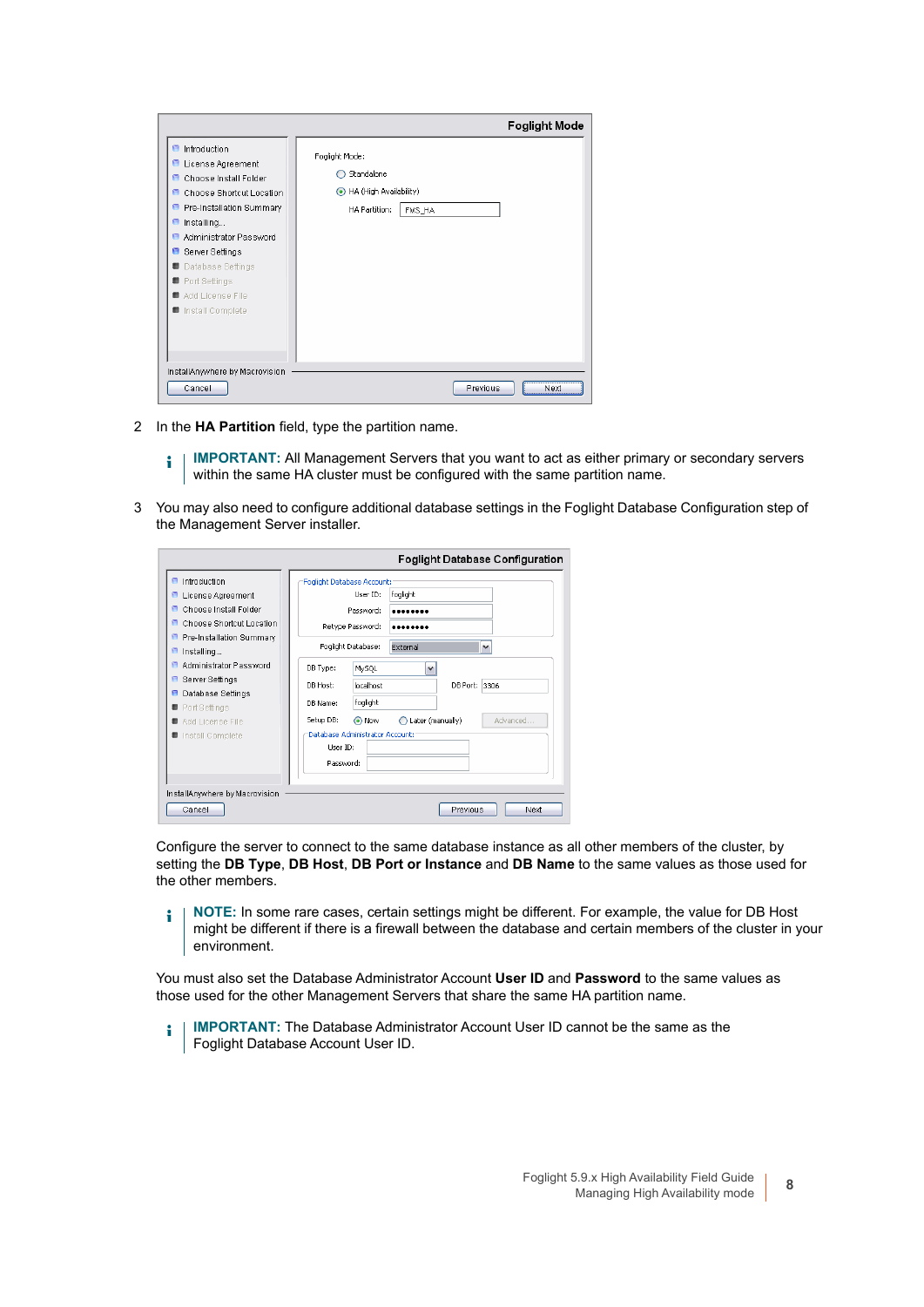|                                                                                                                                                                                                                                                                                                        | <b>Foglight Mode</b>                                                                   |
|--------------------------------------------------------------------------------------------------------------------------------------------------------------------------------------------------------------------------------------------------------------------------------------------------------|----------------------------------------------------------------------------------------|
| Introduction<br><b>E</b> License Agreement<br>Choose Install Folder<br>m.<br>Choose Shortcut Location<br><b>P</b> Pre-Installation Summary<br>Installing<br>Θ.<br>Administrator Password<br>m<br>Server Settings<br>Θ.<br>Database Settings<br>Port Settings<br>Add License File<br>■ Install Complete | Foglight Mode:<br>Standalone<br>HA (High Availability)<br>◉<br>HA Partition:<br>FMS_HA |
| InstallAnywhere by Macrovision<br>Cancel                                                                                                                                                                                                                                                               | Previous<br>Next                                                                       |

2 In the **HA Partition** field, type the partition name.

**IMPORTANT:** All Management Servers that you want to act as either primary or secondary servers i. within the same HA cluster must be configured with the same partition name.

3 You may also need to configure additional database settings in the Foglight Database Configuration step of the Management Server installer.

|                                                                                                                                                                                                                                                              | <b>Foglight Database Configuration</b>                                                                                                                                                                                                           |
|--------------------------------------------------------------------------------------------------------------------------------------------------------------------------------------------------------------------------------------------------------------|--------------------------------------------------------------------------------------------------------------------------------------------------------------------------------------------------------------------------------------------------|
| $\blacksquare$ Introduction<br><b>E</b> License Agreement<br>Choose Install Folder<br>Choose Shortcut Location<br>P Pre-Installation Summary<br>Installing<br>а<br>Administrator Password<br>曲<br>Server Settings<br>Θ<br>Database Settings<br>Port Settings | Foglight Database Account:<br>Hser ID:<br>foglight<br>Password:<br><br>Retype Password:<br>Foglight Database:<br>External<br>$\checkmark$<br>DB Type:<br>$\checkmark$<br>MySQL<br>DB Port: 3306<br>DR Host:<br>Incalhost<br>foglight<br>DR Name: |
| Add License File<br>■ Install Complete<br>InstallAnywhere by Macrovision<br>Cancel                                                                                                                                                                           | Advanced<br>Setup DB:<br>Later (manually)<br>O Now<br>Database Administrator Account:<br>User ID:<br>Password:<br>Previous<br>Next                                                                                                               |

Configure the server to connect to the same database instance as all other members of the cluster, by setting the **DB Type**, **DB Host**, **DB Port or Instance** and **DB Name** to the same values as those used for the other members.

**NOTE:** In some rare cases, certain settings might be different. For example, the value for DB Host ÷ might be different if there is a firewall between the database and certain members of the cluster in your environment.

You must also set the Database Administrator Account **User ID** and **Password** to the same values as those used for the other Management Servers that share the same HA partition name.

**IMPORTANT:** The Database Administrator Account User ID cannot be the same as the f. Foglight Database Account User ID.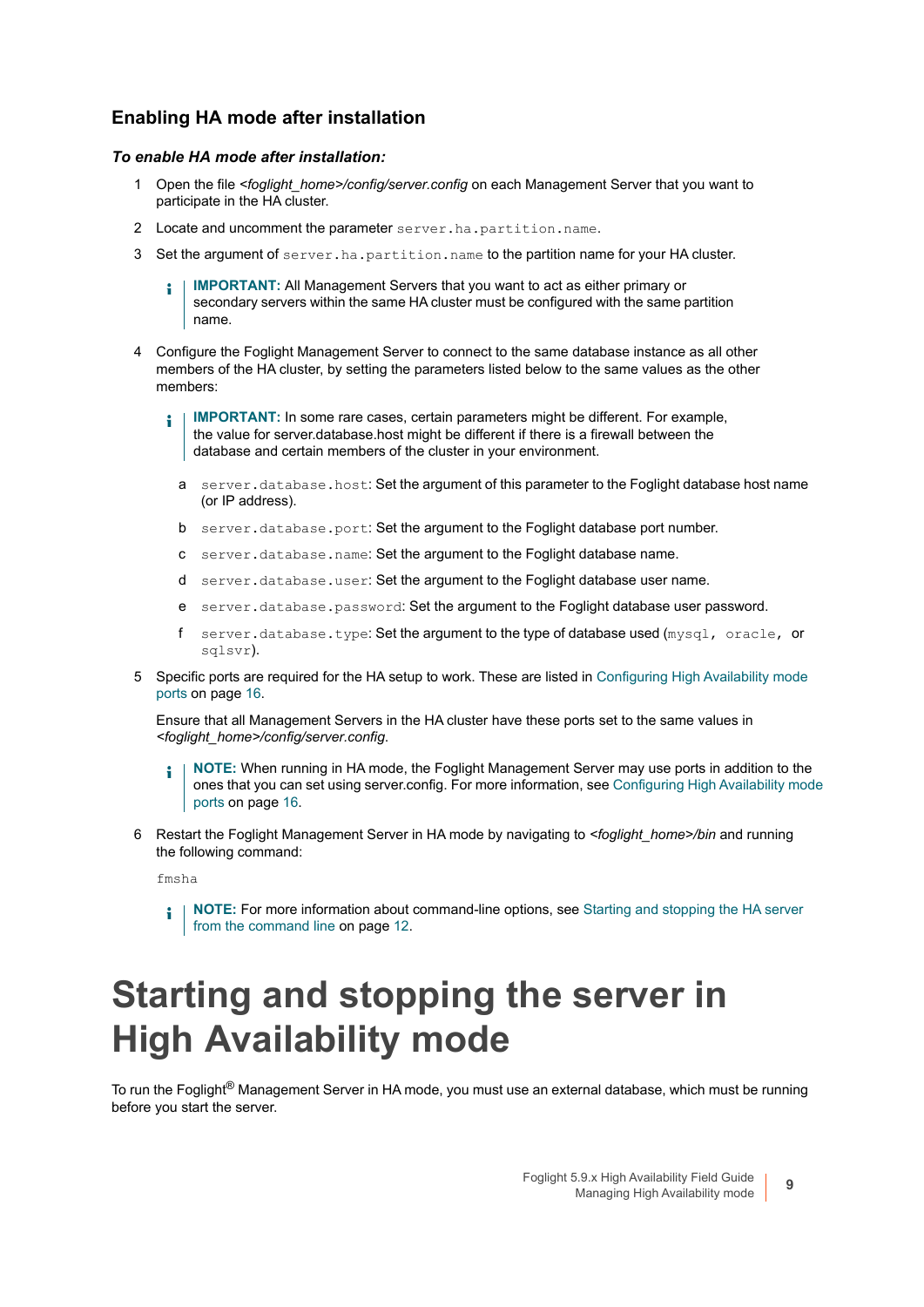#### **Enabling HA mode after installation**

#### *To enable HA mode after installation:*

- 1 Open the file *<foglight\_home>/config/server.config* on each Management Server that you want to participate in the HA cluster.
- 2 Locate and uncomment the parameter server.ha.partition.name.
- 3 Set the argument of server.ha.partition.name to the partition name for your HA cluster.
	- **IMPORTANT:** All Management Servers that you want to act as either primary or ÷ secondary servers within the same HA cluster must be configured with the same partition name.
- 4 Configure the Foglight Management Server to connect to the same database instance as all other members of the HA cluster, by setting the parameters listed below to the same values as the other members:
	- **IMPORTANT:** In some rare cases, certain parameters might be different. For example, ÷ the value for server.database.host might be different if there is a firewall between the database and certain members of the cluster in your environment.
		- a server.database.host: Set the argument of this parameter to the Foglight database host name (or IP address).
		- b server.database.port: Set the argument to the Foglight database port number.
		- c server.database.name: Set the argument to the Foglight database name.
		- d server.database.user: Set the argument to the Foglight database user name.
		- e server.database.password: Set the argument to the Foglight database user password.
		- f server.database.type: Set the argument to the type of database used (mysql, oracle, or sqlsvr).
- 5 Specific ports are required for the HA setup to work. These are listed in [Configuring High Availability mode](#page-15-0)  [ports on page 16](#page-15-0).

Ensure that all Management Servers in the HA cluster have these ports set to the same values in *<foglight\_home>/config/server.config*.

- **NOTE:** When running in HA mode, the Foglight Management Server may use ports in addition to the ÷ ones that you can set using server.config. [For more information, see Configuring High Availability mode](#page-15-0)  [ports on page 16.](#page-15-0)
- 6 Restart the Foglight Management Server in HA mode by navigating to *<foglight\_home>/bin* and running the following command:

fmsha

**NOTE:** For more information about command-line options, see [Starting and stopping the HA server](#page-11-1)  î. [from the command line on page 12.](#page-11-1)

## <span id="page-8-0"></span>**Starting and stopping the server in High Availability mode**

To run the Foglight® Management Server in HA mode, you must use an external database, which must be running before you start the server.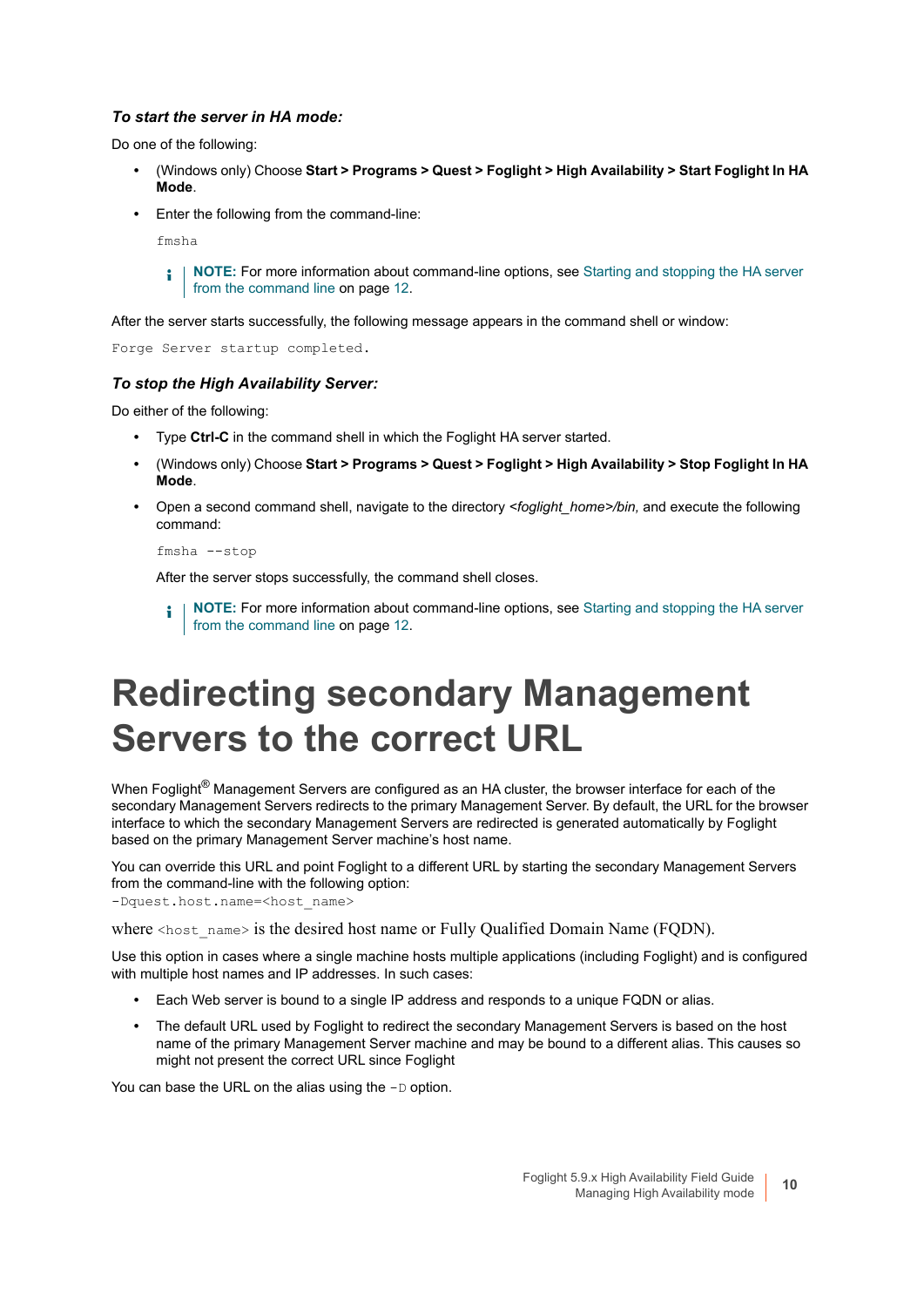#### *To start the server in HA mode:*

Do one of the following:

- **•** (Windows only) Choose **Start > Programs > Quest > Foglight > High Availability > Start Foglight In HA Mode**.
- **•** Enter the following from the command-line:

fmsha

**NOTE:** For more information about command-line options, see [Starting and stopping the HA server](#page-11-1)  î. [from the command line on page 12.](#page-11-1)

After the server starts successfully, the following message appears in the command shell or window:

Forge Server startup completed.

#### *To stop the High Availability Server:*

Do either of the following:

- **•** Type **Ctrl-C** in the command shell in which the Foglight HA server started.
- **•** (Windows only) Choose **Start > Programs > Quest > Foglight > High Availability > Stop Foglight In HA Mode**.
- **•** Open a second command shell, navigate to the directory *<foglight\_home>/bin,* and execute the following command:

fmsha --stop

After the server stops successfully, the command shell closes.

**i** | NOTE: For more information about command-line options, see Starting and stopping the HA server [from the command line on page 12.](#page-11-1)

## <span id="page-9-0"></span>**Redirecting secondary Management Servers to the correct URL**

When Foglight<sup>®</sup> Management Servers are configured as an HA cluster, the browser interface for each of the secondary Management Servers redirects to the primary Management Server. By default, the URL for the browser interface to which the secondary Management Servers are redirected is generated automatically by Foglight based on the primary Management Server machine's host name.

You can override this URL and point Foglight to a different URL by starting the secondary Management Servers from the command-line with the following option: -Dquest.host.name=<host name>

where  $\langle \text{host}\rangle$  name> is the desired host name or Fully Qualified Domain Name (FQDN).

Use this option in cases where a single machine hosts multiple applications (including Foglight) and is configured with multiple host names and IP addresses. In such cases:

- **•** Each Web server is bound to a single IP address and responds to a unique FQDN or alias.
- **•** The default URL used by Foglight to redirect the secondary Management Servers is based on the host name of the primary Management Server machine and may be bound to a different alias. This causes so might not present the correct URL since Foglight

You can base the URL on the alias using the -D option.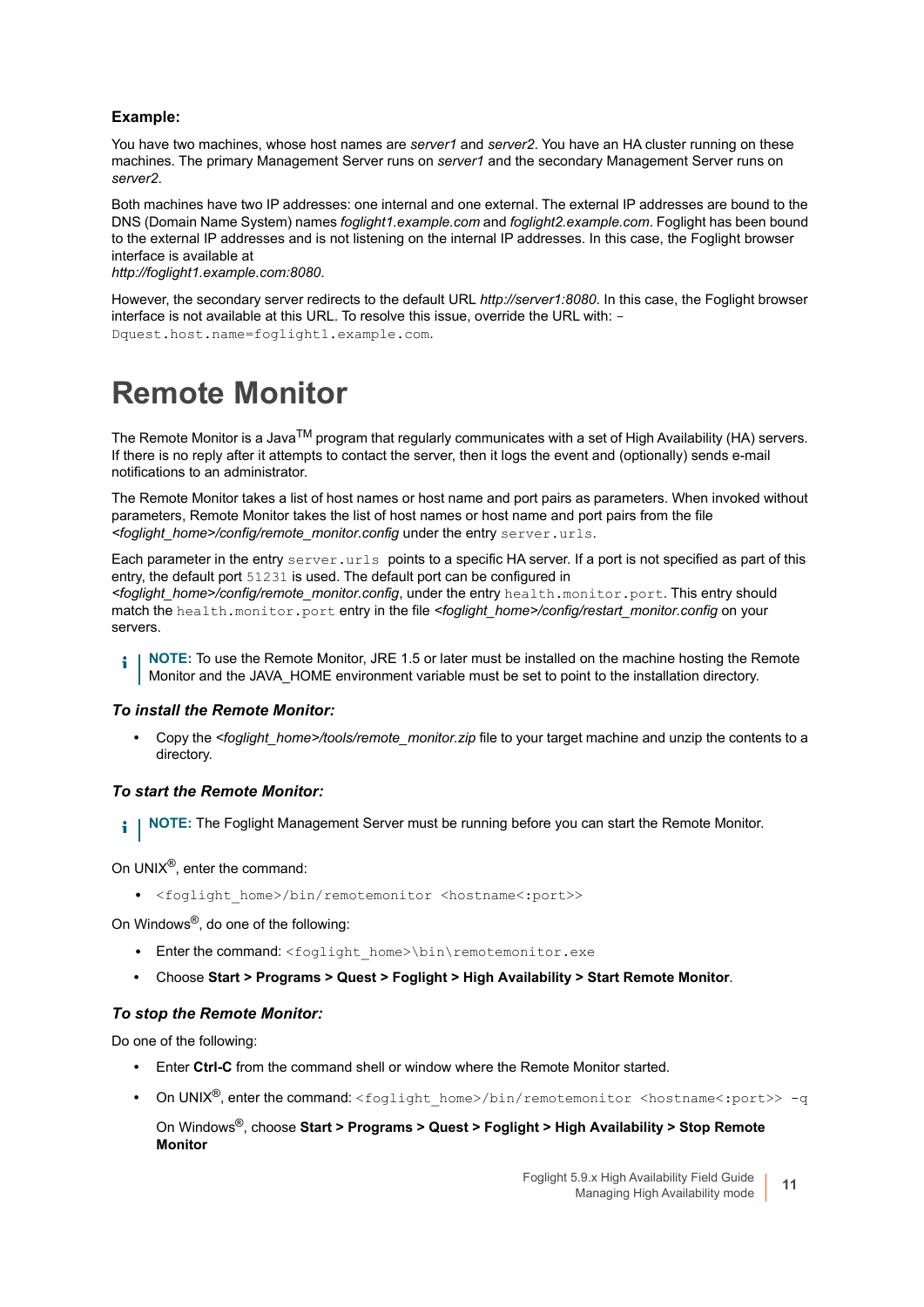#### **Example:**

You have two machines, whose host names are *server1* and *server2*. You have an HA cluster running on these machines. The primary Management Server runs on *server1* and the secondary Management Server runs on *server2*.

Both machines have two IP addresses: one internal and one external. The external IP addresses are bound to the DNS (Domain Name System) names *foglight1.example.com* and *foglight2.example.com*. Foglight has been bound to the external IP addresses and is not listening on the internal IP addresses. In this case, the Foglight browser interface is available at

*http://foglight1.example.com:8080*.

However, the secondary server redirects to the default URL *http://server1:8080*. In this case, the Foglight browser interface is not available at this URL. To resolve this issue, override the URL with: - Dquest.host.name=foglight1.example.com.

### <span id="page-10-1"></span><span id="page-10-0"></span>**Remote Monitor**

The Remote Monitor is a Java<sup>TM</sup> program that regularly communicates with a set of High Availability (HA) servers. If there is no reply after it attempts to contact the server, then it logs the event and (optionally) sends e-mail notifications to an administrator.

The Remote Monitor takes a list of host names or host name and port pairs as parameters. When invoked without parameters, Remote Monitor takes the list of host names or host name and port pairs from the file *<foglight\_home>/config/remote\_monitor.config* under the entry server.urls.

Each parameter in the entry server.urls points to a specific HA server. If a port is not specified as part of this entry, the default port 51231 is used. The default port can be configured in *<foglight\_home>/config/remote\_monitor.config*, under the entry health.monitor.port. This entry should match the health.monitor.port entry in the file *<foglight\_home>/config/restart\_monitor.config* on your servers.

**NOTE:** To use the Remote Monitor, JRE 1.5 or later must be installed on the machine hosting the Remote i. Monitor and the JAVA\_HOME environment variable must be set to point to the installation directory.

#### *To install the Remote Monitor:*

**•** Copy the *<foglight\_home>/tools/remote\_monitor.zip* file to your target machine and unzip the contents to a directory.

#### *To start the Remote Monitor:*

**I** NOTE: The Foglight Management Server must be running before you can start the Remote Monitor.

On UNIX®, enter the command:

**•** <foglight\_home>/bin/remotemonitor <hostname<:port>>

On Windows®, do one of the following:

- Enter the command: <foglight\_home>\bin\remotemonitor.exe
- **•** Choose **Start > Programs > Quest > Foglight > High Availability > Start Remote Monitor**.

#### *To stop the Remote Monitor:*

Do one of the following:

- **•** Enter **Ctrl-C** from the command shell or window where the Remote Monitor started.
- On UNIX<sup>®</sup>, enter the command: <foglight\_home>/bin/remotemonitor <hostname<:port>> -q

On Windows®, choose **Start > Programs > Quest > Foglight > High Availability > Stop Remote Monitor**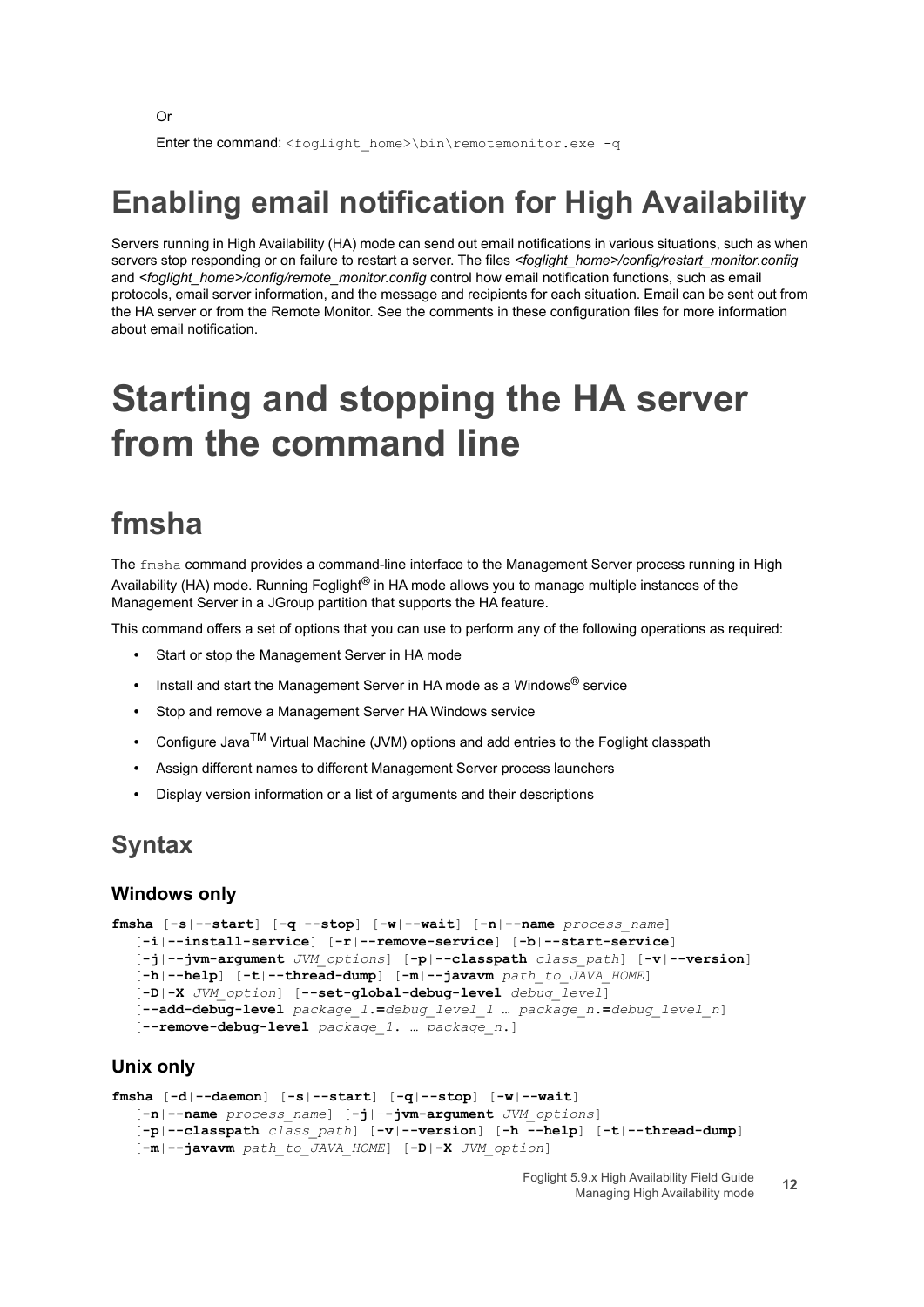```
Or
```
Enter the command: <foglight\_home>\bin\remotemonitor.exe -q

### <span id="page-11-0"></span>**Enabling email notification for High Availability**

Servers running in High Availability (HA) mode can send out email notifications in various situations, such as when servers stop responding or on failure to restart a server. The files <foglight\_home>/config/restart\_monitor.config and <foglight\_home>/config/remote\_monitor.config control how email notification functions, such as email protocols, email server information, and the message and recipients for each situation. Email can be sent out from the HA server or from the Remote Monitor. See the comments in these configuration files for more information about email notification.

## <span id="page-11-1"></span>**Starting and stopping the HA server from the command line**

### <span id="page-11-2"></span>**fmsha**

The fmsha command provides a command-line interface to the Management Server process running in High Availability (HA) mode. Running Foglight<sup>®</sup> in HA mode allows you to manage multiple instances of the Management Server in a JGroup partition that supports the HA feature.

This command offers a set of options that you can use to perform any of the following operations as required:

- **•** Start or stop the Management Server in HA mode
- **•** Install and start the Management Server in HA mode as a Windows® service
- **•** Stop and remove a Management Server HA Windows service
- **•** Configure JavaTM Virtual Machine (JVM) options and add entries to the Foglight classpath
- **•** Assign different names to different Management Server process launchers
- **•** Display version information or a list of arguments and their descriptions

### **Syntax**

#### **Windows only**

```
fmsha [-s|--start] [-q|--stop] [-w|--wait] [-n|--name process_name] 
  [-i|--install-service] [-r|--remove-service] [-b|--start-service] 
  [-j|--jvm-argument JVM_options] [-p|--classpath class_path] [-v|--version] 
  [-h|--help] [-t|--thread-dump] [-m|--javavm path_to_JAVA_HOME]
  [-D|-X JVM_option] [--set-global-debug-level debug_level] 
  [--add-debug-level package_1.=debug_level_1 … package_n.=debug_level_n]
  [--remove-debug-level package_1. … package_n.]
```
#### **Unix only**

```
fmsha [-d|--daemon] [-s|--start] [-q|--stop] [-w|--wait] 
  [-n|--name process_name] [-j|--jvm-argument JVM_options] 
  [-p|--classpath class_path] [-v|--version] [-h|--help] [-t|--thread-dump]
  [-m|--javavm path_to_JAVA_HOME] [-D|-X JVM_option]
```
Foglight 5.9.x High Availability Field Guide S.9.x High Availability Field Guide<br>Managing High Availability mode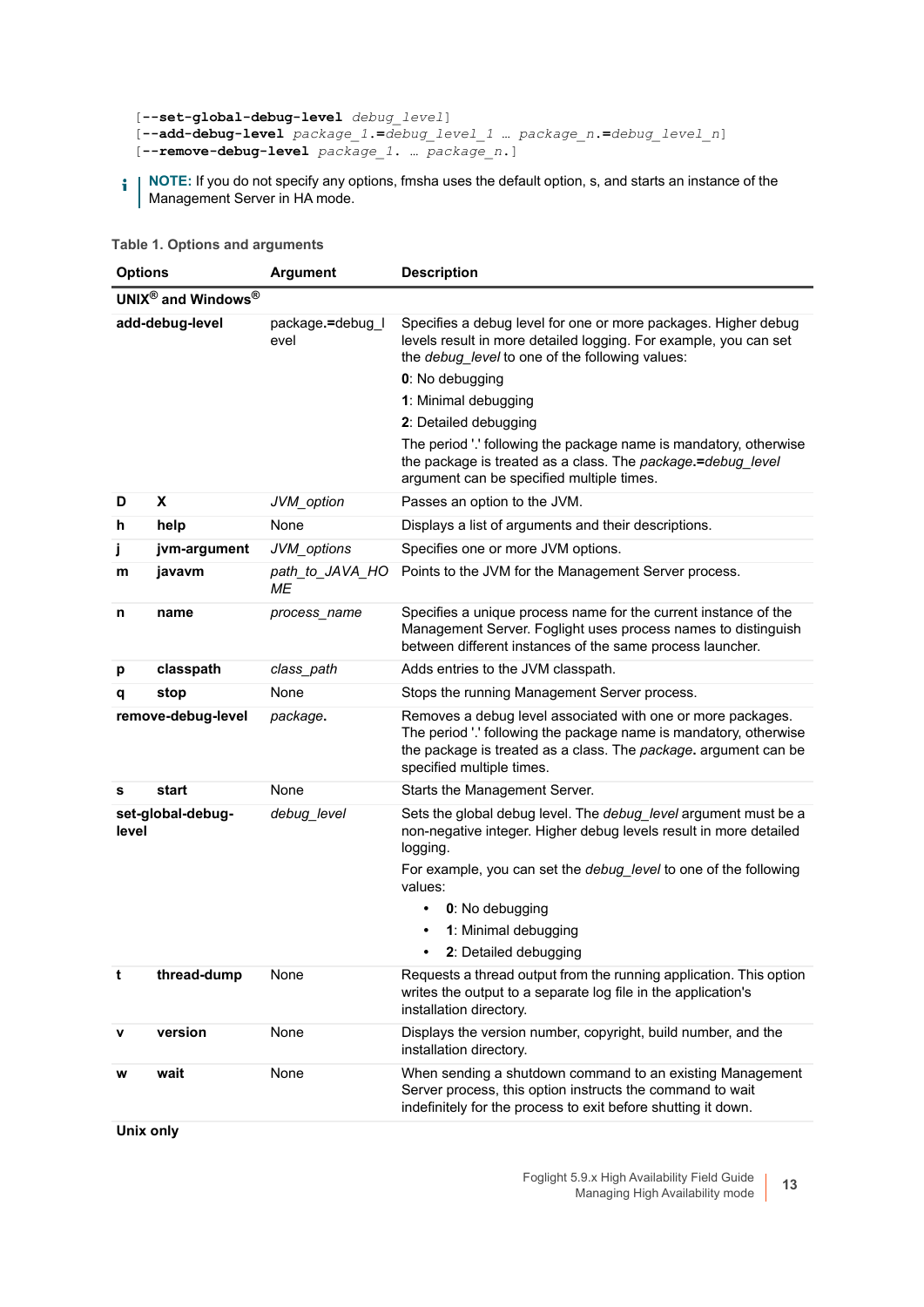```
[--set-global-debug-level debug_level] 
[--add-debug-level package_1.=debug_level_1 … package_n.=debug_level_n]
[--remove-debug-level package_1. … package_n.]
```
**NOTE:** If you do not specify any options, fmsha uses the default option, s, and starts an instance of the Management Server in HA mode.

#### **Table 1. Options and arguments**

| <b>Options</b> |                    | <b>Argument</b>          | <b>Description</b>                                                                                                                                                                                                               |
|----------------|--------------------|--------------------------|----------------------------------------------------------------------------------------------------------------------------------------------------------------------------------------------------------------------------------|
|                | UNIX® and Windows® |                          |                                                                                                                                                                                                                                  |
|                | add-debug-level    | package.=debug_l<br>evel | Specifies a debug level for one or more packages. Higher debug<br>levels result in more detailed logging. For example, you can set<br>the debug_level to one of the following values:                                            |
|                |                    |                          | 0: No debugging                                                                                                                                                                                                                  |
|                |                    |                          | 1: Minimal debugging                                                                                                                                                                                                             |
|                |                    |                          | 2: Detailed debugging                                                                                                                                                                                                            |
|                |                    |                          | The period '.' following the package name is mandatory, otherwise<br>the package is treated as a class. The package.=debug_level<br>argument can be specified multiple times.                                                    |
| D              | X                  | JVM_option               | Passes an option to the JVM.                                                                                                                                                                                                     |
| h              | help               | None                     | Displays a list of arguments and their descriptions.                                                                                                                                                                             |
| j              | jvm-argument       | JVM_options              | Specifies one or more JVM options.                                                                                                                                                                                               |
| m              | javavm             | path_to_JAVA_HO<br>МE    | Points to the JVM for the Management Server process.                                                                                                                                                                             |
| n              | name               | process_name             | Specifies a unique process name for the current instance of the<br>Management Server. Foglight uses process names to distinguish<br>between different instances of the same process launcher.                                    |
| р              | classpath          | class_path               | Adds entries to the JVM classpath.                                                                                                                                                                                               |
| q              | stop               | None                     | Stops the running Management Server process.                                                                                                                                                                                     |
|                | remove-debug-level | package.                 | Removes a debug level associated with one or more packages.<br>The period '.' following the package name is mandatory, otherwise<br>the package is treated as a class. The package. argument can be<br>specified multiple times. |
| s              | start              | None                     | Starts the Management Server.                                                                                                                                                                                                    |
| level          | set-global-debug-  | debug_level              | Sets the global debug level. The debug_level argument must be a<br>non-negative integer. Higher debug levels result in more detailed<br>logging.                                                                                 |
|                |                    |                          | For example, you can set the <i>debug_level</i> to one of the following<br>values:                                                                                                                                               |
|                |                    |                          | 0: No debugging<br>$\bullet$                                                                                                                                                                                                     |
|                |                    |                          | 1: Minimal debugging<br>٠                                                                                                                                                                                                        |
|                |                    |                          | 2: Detailed debugging<br>$\bullet$                                                                                                                                                                                               |
| t              | thread-dump        | None                     | Requests a thread output from the running application. This option<br>writes the output to a separate log file in the application's<br>installation directory.                                                                   |
| v              | version            | None                     | Displays the version number, copyright, build number, and the<br>installation directory.                                                                                                                                         |
| w              | wait               | None                     | When sending a shutdown command to an existing Management<br>Server process, this option instructs the command to wait<br>indefinitely for the process to exit before shutting it down.                                          |

**Unix only**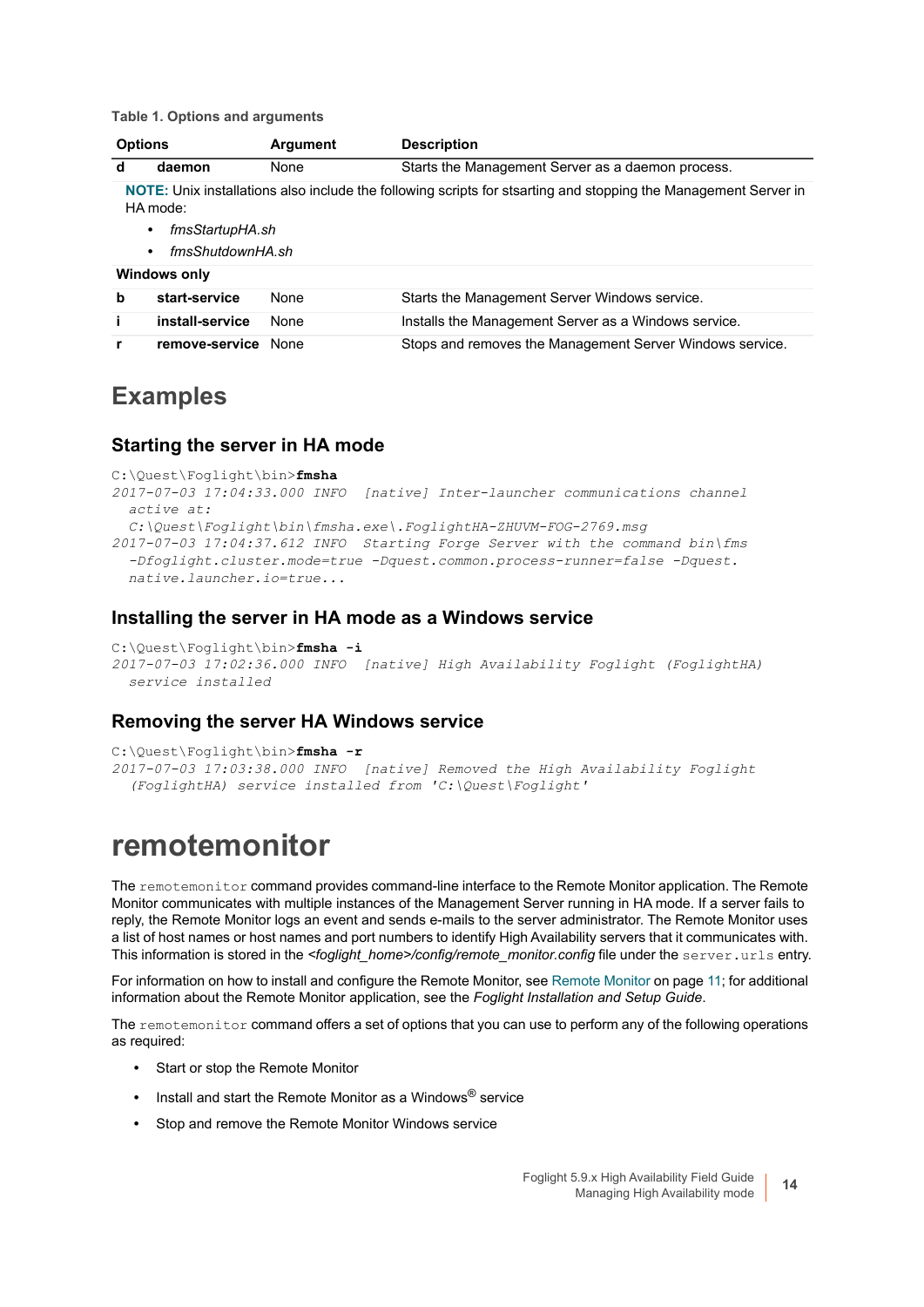**Table 1. Options and arguments** 

| <b>Argument</b><br><b>Options</b> |                                                                                                                                                                                      |             | <b>Description</b>                                       |  |
|-----------------------------------|--------------------------------------------------------------------------------------------------------------------------------------------------------------------------------------|-------------|----------------------------------------------------------|--|
| d                                 | daemon                                                                                                                                                                               | <b>None</b> | Starts the Management Server as a daemon process.        |  |
|                                   | NOTE: Unix installations also include the following scripts for stsarting and stopping the Management Server in<br>HA mode:<br>fmsStartupHA.sh<br>٠<br>fmsShutdownHA.sh<br>$\bullet$ |             |                                                          |  |
|                                   | <b>Windows only</b>                                                                                                                                                                  |             |                                                          |  |
| b                                 | start-service                                                                                                                                                                        | None        | Starts the Management Server Windows service.            |  |
| i.                                | install-service                                                                                                                                                                      | <b>None</b> | Installs the Management Server as a Windows service.     |  |
| r                                 | remove-service                                                                                                                                                                       | None        | Stops and removes the Management Server Windows service. |  |

### **Examples**

#### **Starting the server in HA mode**

```
C:\Quest\Foglight\bin>fmsha
2017-07-03 17:04:33.000 INFO [native] Inter-launcher communications channel
  active at:
  C:\Quest\Foglight\bin\fmsha.exe\.FoglightHA-ZHUVM-FOG-2769.msg
2017-07-03 17:04:37.612 INFO Starting Forge Server with the command bin\fms
   -Dfoglight.cluster.mode=true -Dquest.common.process-runner=false -Dquest.
  native.launcher.io=true...
```
#### **Installing the server in HA mode as a Windows service**

```
C:\Quest\Foglight\bin>fmsha -i
2017-07-03 17:02:36.000 INFO [native] High Availability Foglight (FoglightHA)
  service installed
```
#### **Removing the server HA Windows service**

```
C:\Quest\Foglight\bin>fmsha -r
2017-07-03 17:03:38.000 INFO [native] Removed the High Availability Foglight
   (FoglightHA) service installed from 'C:\Quest\Foglight'
```
### <span id="page-13-0"></span>**remotemonitor**

The remotemonitor command provides command-line interface to the Remote Monitor application. The Remote Monitor communicates with multiple instances of the Management Server running in HA mode. If a server fails to reply, the Remote Monitor logs an event and sends e-mails to the server administrator. The Remote Monitor uses a list of host names or host names and port numbers to identify High Availability servers that it communicates with. This information is stored in the *<foglight\_home>/config/remote\_monitor.config* file under the server.urls entry.

For information on how to install and configure the Remote Monitor, see [Remote Monitor on page 11](#page-10-0); for additional information about the Remote Monitor application, see the *Foglight Installation and Setup Guide*.

The remotemonitor command offers a set of options that you can use to perform any of the following operations as required:

- **•** Start or stop the Remote Monitor
- **•** Install and start the Remote Monitor as a Windows® service
- **•** Stop and remove the Remote Monitor Windows service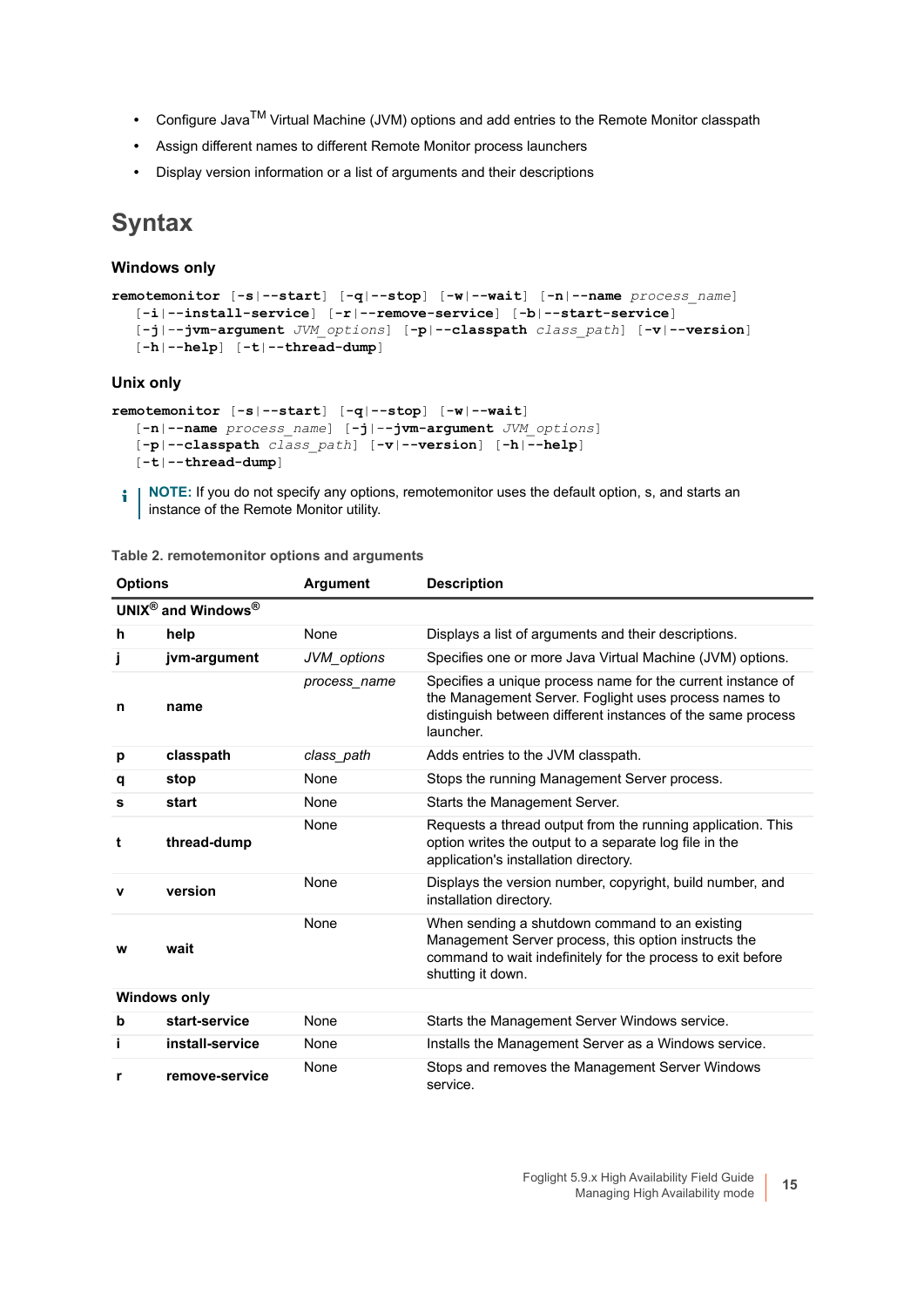- **•** Configure JavaTM Virtual Machine (JVM) options and add entries to the Remote Monitor classpath
- **•** Assign different names to different Remote Monitor process launchers
- **•** Display version information or a list of arguments and their descriptions

### **Syntax**

#### **Windows only**

```
remotemonitor [-s|--start] [-q|--stop] [-w|--wait] [-n|--name process_name] 
  [-i|--install-service] [-r|--remove-service] [-b|--start-service]
  [-j|--jvm-argument JVM_options] [-p|--classpath class_path] [-v|--version]
  [-h|--help] [-t|--thread-dump]
```
#### **Unix only**

```
remotemonitor [-s|--start] [-q|--stop] [-w|--wait]
  [-n|--name process_name] [-j|--jvm-argument JVM_options]
  [-p|--classpath class_path] [-v|--version] [-h|--help]
  [-t|--thread-dump]
```
**NOTE:** If you do not specify any options, remotemonitor uses the default option, s, and starts an i. instance of the Remote Monitor utility.

**Table 2. remotemonitor options and arguments** 

| <b>Options</b> |                                                | <b>Argument</b> | <b>Description</b>                                                                                                                                                                               |
|----------------|------------------------------------------------|-----------------|--------------------------------------------------------------------------------------------------------------------------------------------------------------------------------------------------|
|                | UNIX $^{\circledR}$ and Windows $^{\circledR}$ |                 |                                                                                                                                                                                                  |
| h              | help                                           | None            | Displays a list of arguments and their descriptions.                                                                                                                                             |
| j              | jvm-argument                                   | JVM_options     | Specifies one or more Java Virtual Machine (JVM) options.                                                                                                                                        |
| n              | name                                           | process name    | Specifies a unique process name for the current instance of<br>the Management Server. Foglight uses process names to<br>distinguish between different instances of the same process<br>launcher. |
| р              | classpath                                      | class_path      | Adds entries to the JVM classpath.                                                                                                                                                               |
| q              | stop                                           | None            | Stops the running Management Server process.                                                                                                                                                     |
| s              | start                                          | None            | Starts the Management Server.                                                                                                                                                                    |
| t              | thread-dump                                    | None            | Requests a thread output from the running application. This<br>option writes the output to a separate log file in the<br>application's installation directory.                                   |
| $\mathbf v$    | version                                        | None            | Displays the version number, copyright, build number, and<br>installation directory.                                                                                                             |
| w              | wait                                           | None            | When sending a shutdown command to an existing<br>Management Server process, this option instructs the<br>command to wait indefinitely for the process to exit before<br>shutting it down.       |
|                | <b>Windows only</b>                            |                 |                                                                                                                                                                                                  |
| b              | start-service                                  | None            | Starts the Management Server Windows service.                                                                                                                                                    |
| i              | install-service                                | None            | Installs the Management Server as a Windows service.                                                                                                                                             |
| r              | remove-service                                 | None            | Stops and removes the Management Server Windows<br>service.                                                                                                                                      |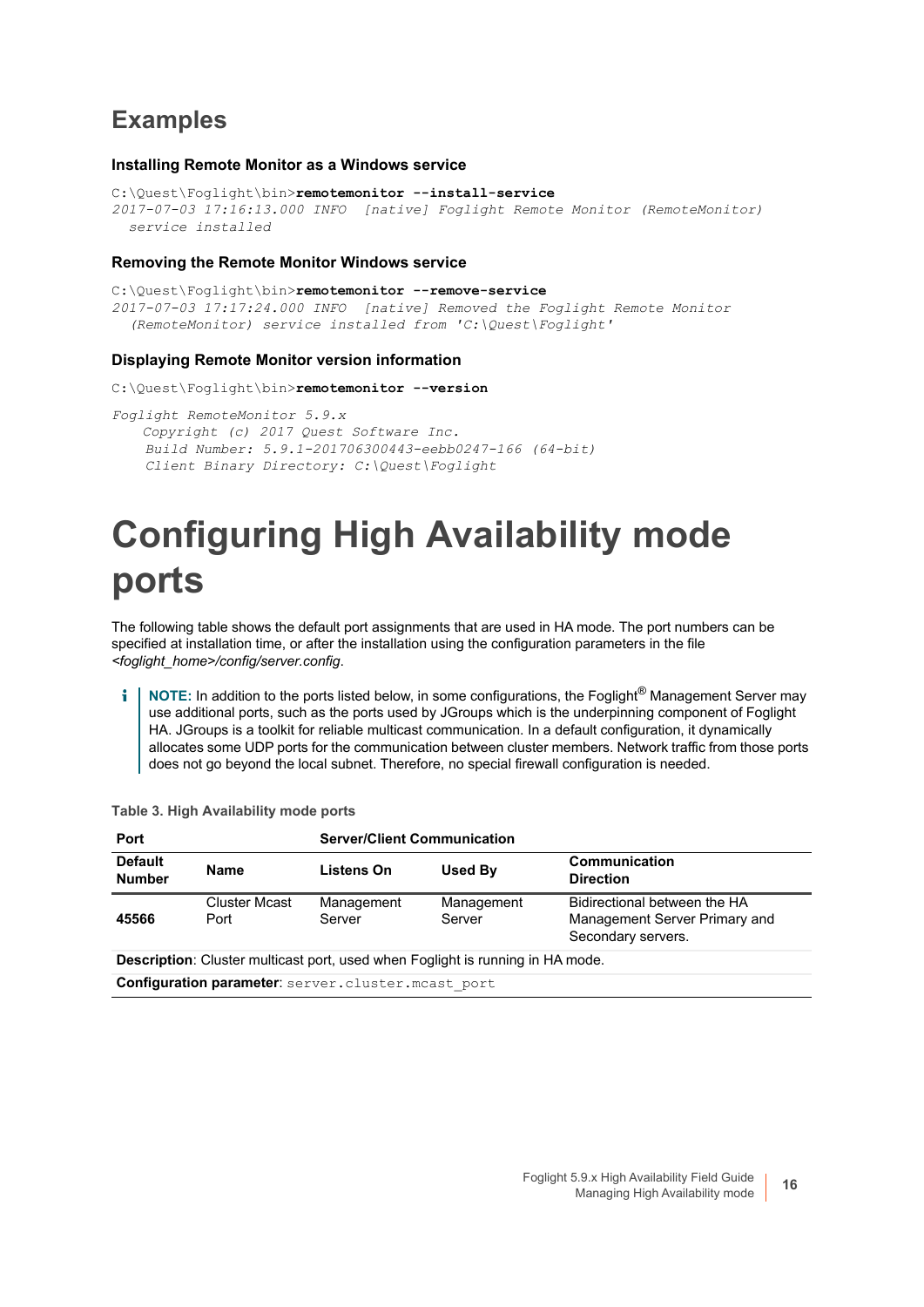### **Examples**

#### **Installing Remote Monitor as a Windows service**

```
C:\Quest\Foglight\bin>remotemonitor --install-service
2017-07-03 17:16:13.000 INFO [native] Foglight Remote Monitor (RemoteMonitor)
  service installed
```
#### **Removing the Remote Monitor Windows service**

```
C:\Quest\Foglight\bin>remotemonitor --remove-service
2017-07-03 17:17:24.000 INFO [native] Removed the Foglight Remote Monitor
   (RemoteMonitor) service installed from 'C:\Quest\Foglight'
```
#### **Displaying Remote Monitor version information**

```
C:\Quest\Foglight\bin>remotemonitor --version
Foglight RemoteMonitor 5.9.x
    Copyright (c) 2017 Quest Software Inc.
     Build Number: 5.9.1-201706300443-eebb0247-166 (64-bit)
```
# *Client Binary Directory: C:\Quest\Foglight*

### <span id="page-15-1"></span><span id="page-15-0"></span>**Configuring High Availability mode ports**

The following table shows the default port assignments that are used in HA mode. The port numbers can be specified at installation time, or after the installation using the configuration parameters in the file *<foglight\_home>/config/server.config*.

**NOTE:** In addition to the ports listed below, in some configurations, the Foglight® Management Server may ÷ use additional ports, such as the ports used by JGroups which is the underpinning component of Foglight HA. JGroups is a toolkit for reliable multicast communication. In a default configuration, it dynamically allocates some UDP ports for the communication between cluster members. Network traffic from those ports does not go beyond the local subnet. Therefore, no special firewall configuration is needed.

| Port                                                                                  |                                                    | <b>Server/Client Communication</b> |                      |                                                                                     |  |
|---------------------------------------------------------------------------------------|----------------------------------------------------|------------------------------------|----------------------|-------------------------------------------------------------------------------------|--|
| <b>Default</b><br><b>Number</b>                                                       | <b>Name</b>                                        | Listens On                         | Used By              | Communication<br><b>Direction</b>                                                   |  |
| 45566                                                                                 | <b>Cluster Mcast</b><br>Port                       | Management<br>Server               | Management<br>Server | Bidirectional between the HA<br>Management Server Primary and<br>Secondary servers. |  |
| <b>Description:</b> Cluster multicast port, used when Foglight is running in HA mode. |                                                    |                                    |                      |                                                                                     |  |
|                                                                                       | Configuration parameter: server.cluster.mcast port |                                    |                      |                                                                                     |  |
|                                                                                       |                                                    |                                    |                      |                                                                                     |  |

**Table 3. High Availability mode ports**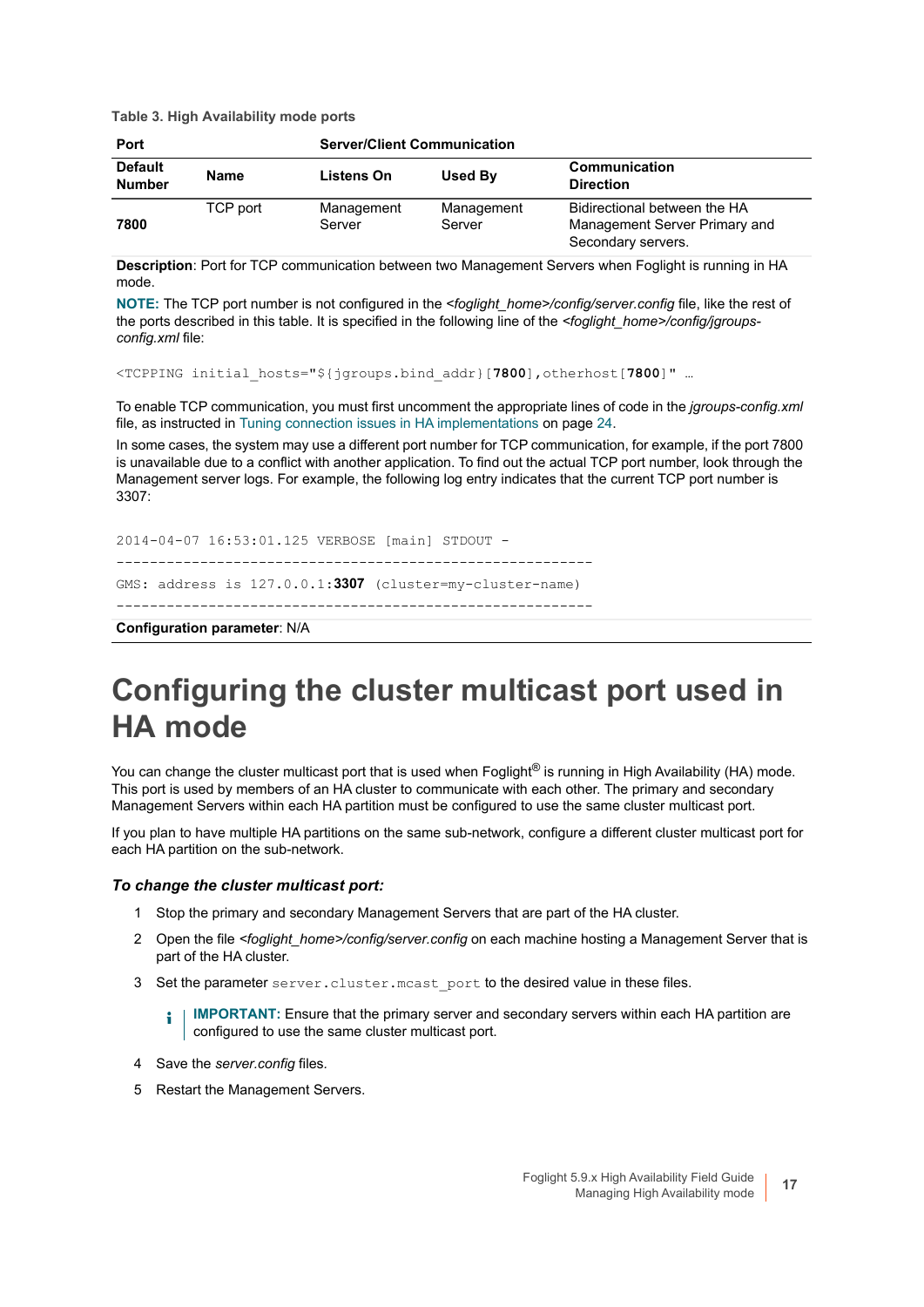**Table 3. High Availability mode ports**

| <b>Server/Client Communication</b><br><b>Port</b> |          |                      |                      |                                                                                     |
|---------------------------------------------------|----------|----------------------|----------------------|-------------------------------------------------------------------------------------|
| <b>Default</b><br><b>Number</b>                   | Name     | Listens On           | Used By              | Communication<br><b>Direction</b>                                                   |
| 7800                                              | TCP port | Management<br>Server | Management<br>Server | Bidirectional between the HA<br>Management Server Primary and<br>Secondary servers. |

**Description**: Port for TCP communication between two Management Servers when Foglight is running in HA mode.

**NOTE:** The TCP port number is not configured in the *<foglight\_home>/config/server.config* file, like the rest of the ports described in this table. It is specified in the following line of the *<foglight\_home>/config/jgroupsconfig.xml* file:

<TCPPING initial\_hosts="\${jgroups.bind\_addr}[**7800**],otherhost[**7800**]" …

To enable TCP communication, you must first uncomment the appropriate lines of code in the *jgroups-config.xml* file, as instructed in [Tuning connection issues in HA implementations on page 24.](#page-23-2)

In some cases, the system may use a different port number for TCP communication, for example, if the port 7800 is unavailable due to a conflict with another application. To find out the actual TCP port number, look through the Management server logs. For example, the following log entry indicates that the current TCP port number is 3307:

```
2014-04-07 16:53:01.125 VERBOSE [main] STDOUT -
   ---------------------------------------------------------
GMS: address is 127.0.0.1:3307 (cluster=my-cluster-name)
---------------------------------------------------------
```
**Configuration parameter**: N/A

### <span id="page-16-0"></span>**Configuring the cluster multicast port used in HA mode**

You can change the cluster multicast port that is used when Foglight® is running in High Availability (HA) mode. This port is used by members of an HA cluster to communicate with each other. The primary and secondary Management Servers within each HA partition must be configured to use the same cluster multicast port.

If you plan to have multiple HA partitions on the same sub-network, configure a different cluster multicast port for each HA partition on the sub-network.

#### *To change the cluster multicast port:*

- 1 Stop the primary and secondary Management Servers that are part of the HA cluster.
- 2 Open the file *<foglight\_home>/config/server.config* on each machine hosting a Management Server that is part of the HA cluster.
- 3 Set the parameter server.cluster.mcast port to the desired value in these files.

**IMPORTANT:** Ensure that the primary server and secondary servers within each HA partition are ÷ configured to use the same cluster multicast port.

- 4 Save the *server.config* files*.*
- 5 Restart the Management Servers.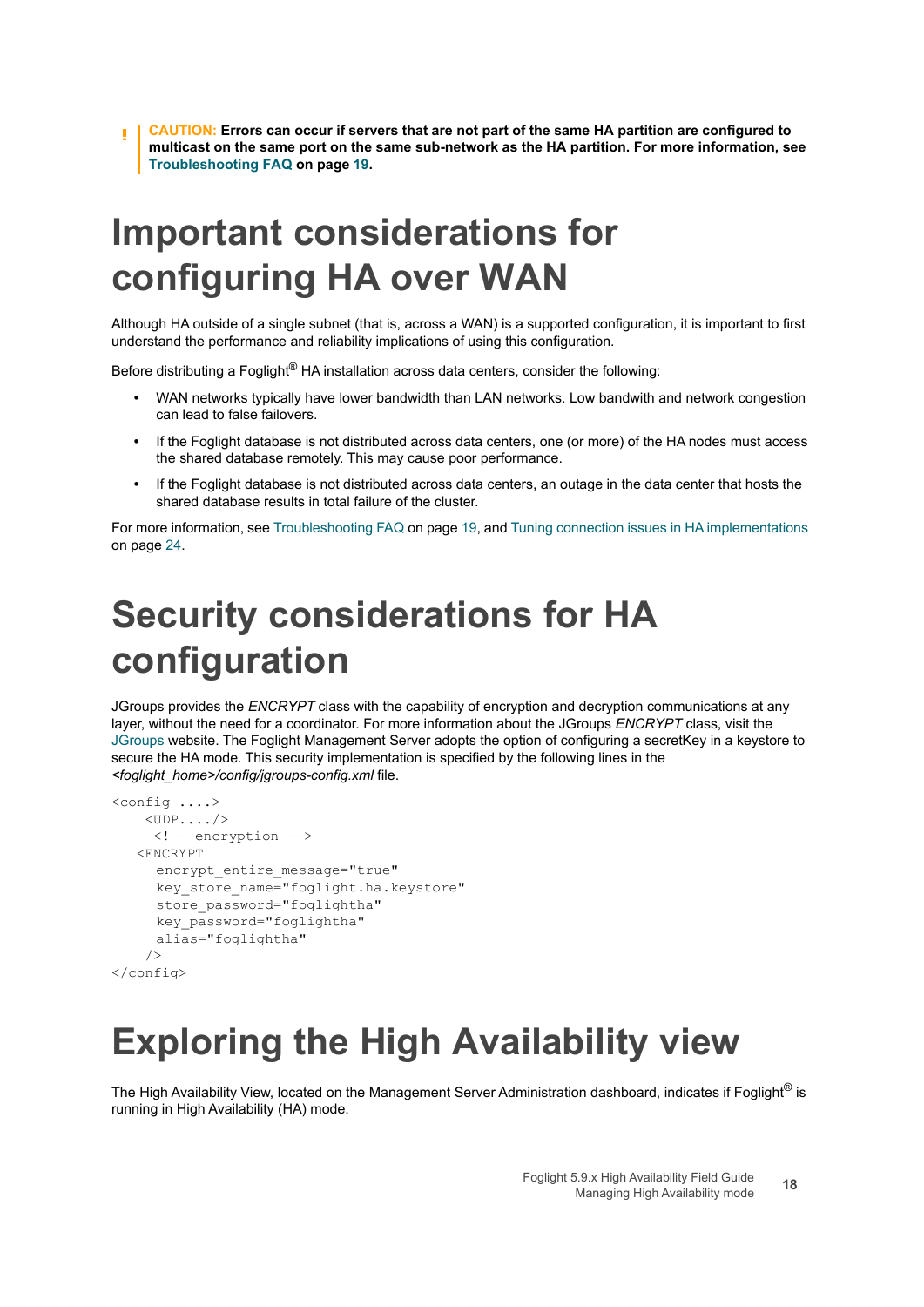**CAUTION: Errors can occur if servers that are not part of the same HA partition are configured to multicast on the same port on the same sub-network as the HA partition. [For more information, see](#page-18-2)  [Troubleshooting FAQ on page 19.](#page-18-2)**

### <span id="page-17-3"></span><span id="page-17-0"></span>**Important considerations for configuring HA over WAN**

Although HA outside of a single subnet (that is, across a WAN) is a supported configuration, it is important to first understand the performance and reliability implications of using this configuration.

Before distributing a Foglight<sup>®</sup> HA installation across data centers, consider the following:

- **•** WAN networks typically have lower bandwidth than LAN networks. Low bandwith and network congestion can lead to false failovers.
- **•** If the Foglight database is not distributed across data centers, one (or more) of the HA nodes must access the shared database remotely. This may cause poor performance.
- **•** If the Foglight database is not distributed across data centers, an outage in the data center that hosts the shared database results in total failure of the cluster.

For more information, see [Troubleshooting FAQ on page 19](#page-18-2), and [Tuning connection issues in HA implementations](#page-23-2) [on page 24.](#page-23-2)

## <span id="page-17-1"></span>**Security considerations for HA configuration**

JGroups provides the *ENCRYPT* class with the capability of encryption and decryption communications at any layer, without the need for a coordinator. For more information about the JGroups *ENCRYPT* class, visit the [JGroups](http://www.jgroups.org/javadoc/org/jgroups/protocols/ENCRYPT.html) website. The Foglight Management Server adopts the option of configuring a secretKey in a keystore to secure the HA mode. This security implementation is specified by the following lines in the *<foglight\_home>/config/jgroups-config.xml* file.

```
<config ....>
    \langleUDP..../>
      <!-- encryption -->
    <ENCRYPT 
     encrypt entire message="true"
     key store name="foglight.ha.keystore"
     store_password="foglightha"
     key_password="foglightha" 
     alias="foglightha"
     />
</config>
```
### <span id="page-17-2"></span>**Exploring the High Availability view**

The High Availability View, located on the Management Server Administration dashboard, indicates if Foglight® is running in High Availability (HA) mode.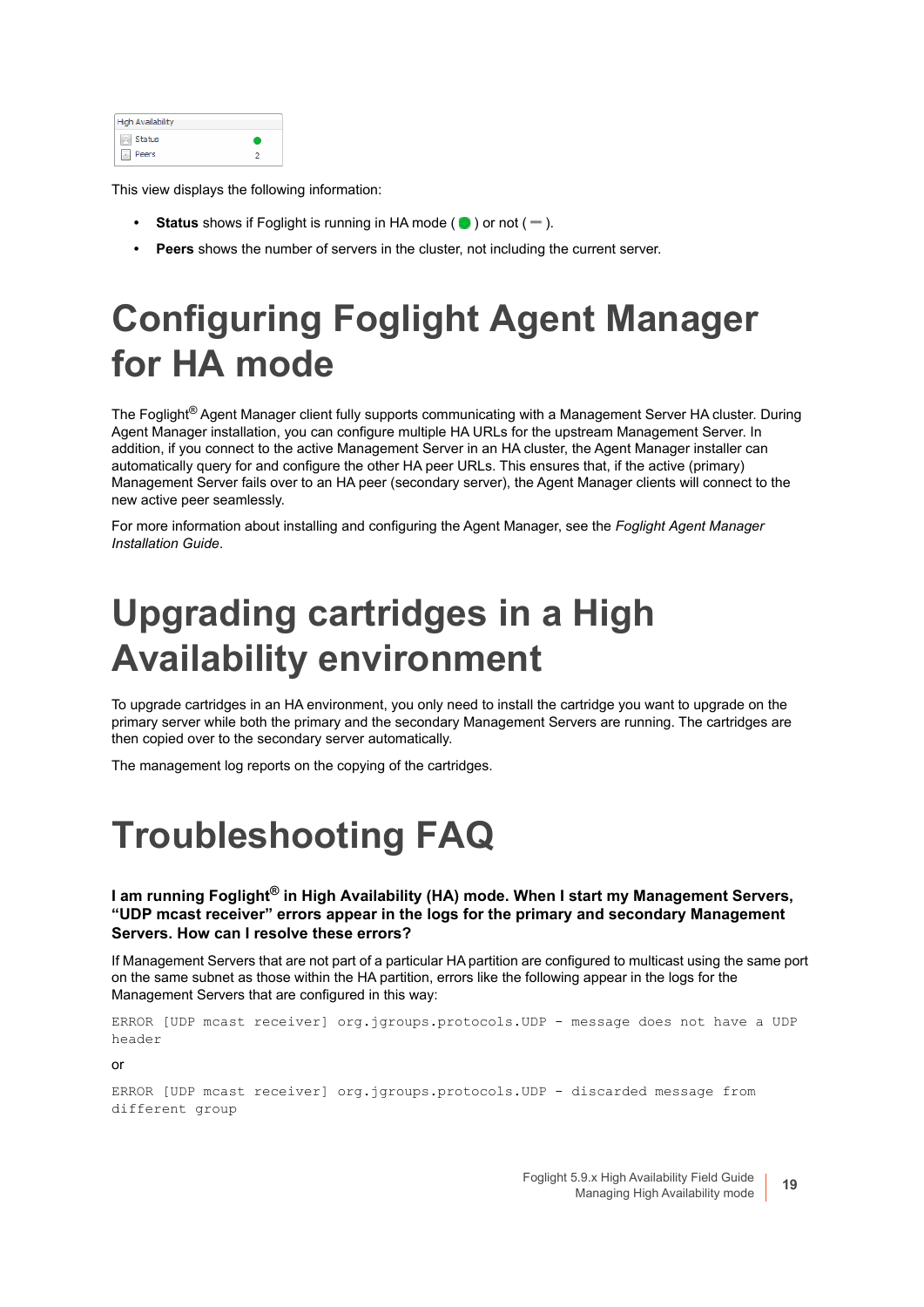| <b>High Availability</b> |  |
|--------------------------|--|
| Status                   |  |
| Peers                    |  |

This view displays the following information:

- **Status** shows if Foglight is running in HA mode  $($   $)$  or not  $($   $)$ .
- **Peers** shows the number of servers in the cluster, not including the current server.

## <span id="page-18-0"></span>**Configuring Foglight Agent Manager for HA mode**

The Foglight<sup>®</sup> Agent Manager client fully supports communicating with a Management Server HA cluster. During Agent Manager installation, you can configure multiple HA URLs for the upstream Management Server. In addition, if you connect to the active Management Server in an HA cluster, the Agent Manager installer can automatically query for and configure the other HA peer URLs. This ensures that, if the active (primary) Management Server fails over to an HA peer (secondary server), the Agent Manager clients will connect to the new active peer seamlessly.

For more information about installing and configuring the Agent Manager, see the *Foglight Agent Manager Installation Guide*.

## <span id="page-18-1"></span>**Upgrading cartridges in a High Availability environment**

To upgrade cartridges in an HA environment, you only need to install the cartridge you want to upgrade on the primary server while both the primary and the secondary Management Servers are running. The cartridges are then copied over to the secondary server automatically.

The management log reports on the copying of the cartridges.

### <span id="page-18-2"></span>**Troubleshooting FAQ**

**I am running Foglight® in High Availability (HA) mode. When I start my Management Servers, "UDP mcast receiver" errors appear in the logs for the primary and secondary Management Servers. How can I resolve these errors?**

If Management Servers that are not part of a particular HA partition are configured to multicast using the same port on the same subnet as those within the HA partition, errors like the following appear in the logs for the Management Servers that are configured in this way:

```
ERROR [UDP mcast receiver] org.jgroups.protocols.UDP - message does not have a UDP 
header
```
or

```
ERROR [UDP mcast receiver] org.jgroups.protocols.UDP - discarded message from 
different group
```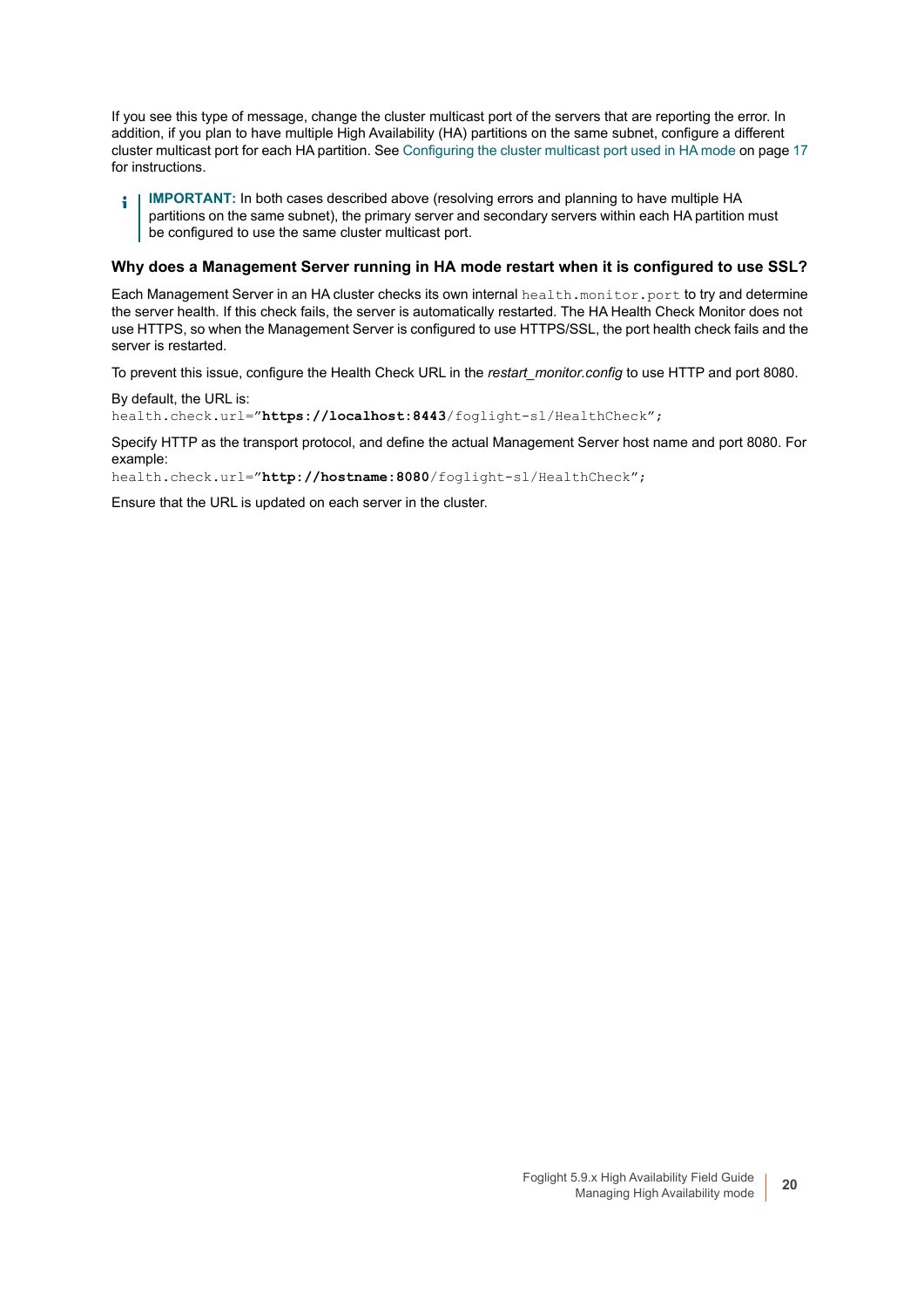If you see this type of message, change the cluster multicast port of the servers that are reporting the error. In addition, if you plan to have multiple High Availability (HA) partitions on the same subnet, configure a different cluster multicast port for each HA partition. See [Configuring the cluster multicast port used in HA mode on page 17](#page-16-0) for instructions.

**IMPORTANT:** In both cases described above (resolving errors and planning to have multiple HA å partitions on the same subnet), the primary server and secondary servers within each HA partition must be configured to use the same cluster multicast port.

#### **Why does a Management Server running in HA mode restart when it is configured to use SSL?**

Each Management Server in an HA cluster checks its own internal health.monitor.port to try and determine the server health. If this check fails, the server is automatically restarted. The HA Health Check Monitor does not use HTTPS, so when the Management Server is configured to use HTTPS/SSL, the port health check fails and the server is restarted.

To prevent this issue, configure the Health Check URL in the *restart\_monitor.config* to use HTTP and port 8080.

By default, the URL is: health.check.url="**https://localhost:8443**/foglight-sl/HealthCheck";

Specify HTTP as the transport protocol, and define the actual Management Server host name and port 8080. For example:

health.check.url="**http://hostname:8080**/foglight-sl/HealthCheck";

Ensure that the URL is updated on each server in the cluster.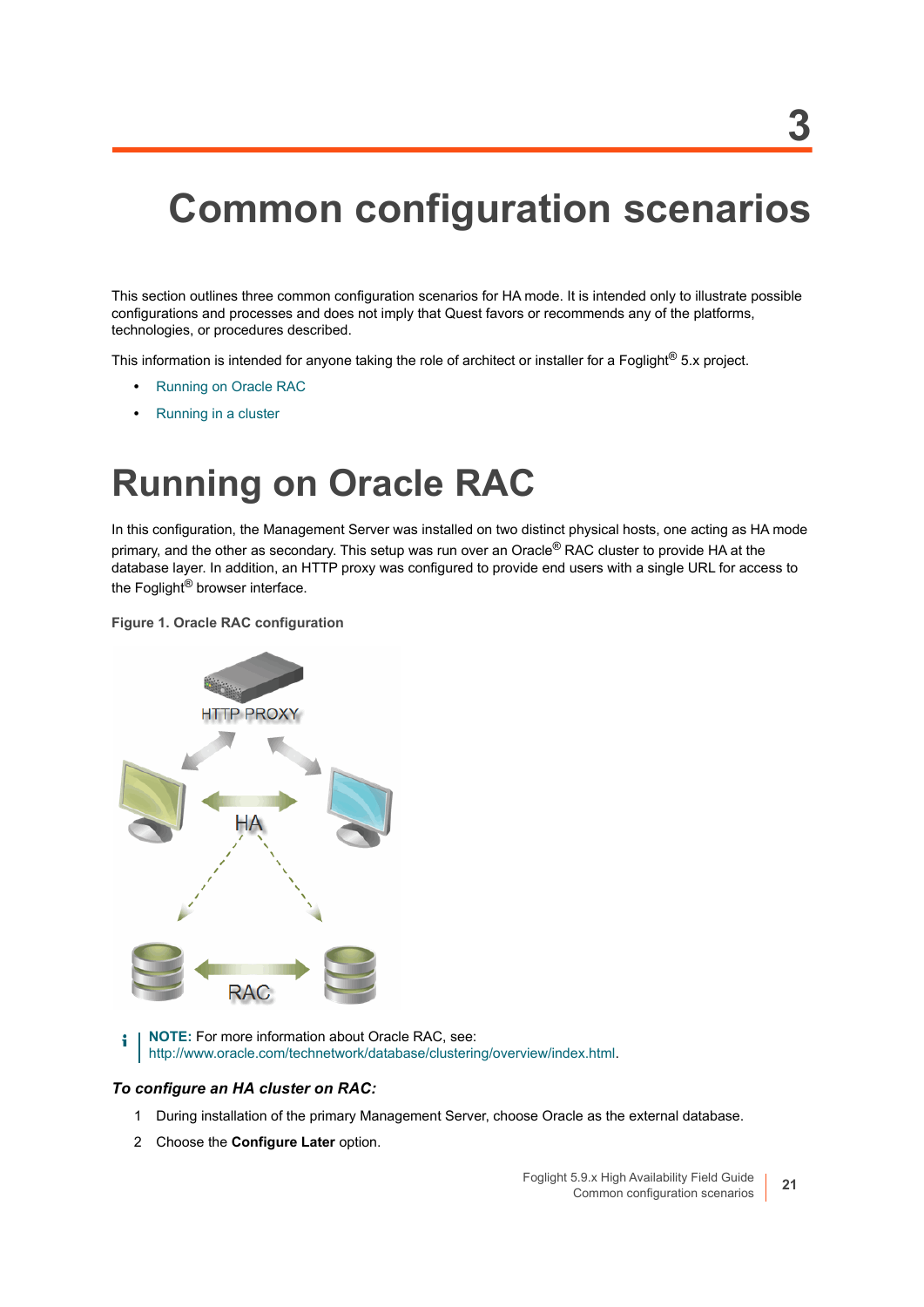## <span id="page-20-2"></span><span id="page-20-0"></span>**Common configuration scenarios**

This section outlines three common configuration scenarios for HA mode. It is intended only to illustrate possible configurations and processes and does not imply that Quest favors or recommends any of the platforms, technologies, or procedures described.

This information is intended for anyone taking the role of architect or installer for a Foglight<sup>®</sup> 5.x project.

- **•** [Running on Oracle RAC](#page-20-1)
- **•** [Running in a cluster](#page-21-1)

### <span id="page-20-3"></span><span id="page-20-1"></span>**Running on Oracle RAC**

In this configuration, the Management Server was installed on two distinct physical hosts, one acting as HA mode primary, and the other as secondary. This setup was run over an Oracle<sup>®</sup> RAC cluster to provide HA at the database layer. In addition, an HTTP proxy was configured to provide end users with a single URL for access to the Foglight<sup>®</sup> browser interface.

**Figure 1. Oracle RAC configuration**



**NOTE:** For more information about Oracle RAC, see[:](http://www.oracle.com/technetwork/database/clustering/overview/index.html) i [http://www.oracle.com/technetwork/database/clustering/overview/index.html.](http://www.oracle.com/technetwork/database/clustering/overview/index.html)

#### *To configure an HA cluster on RAC:*

- 1 During installation of the primary Management Server, choose Oracle as the external database.
- 2 Choose the **Configure Later** option.

**3**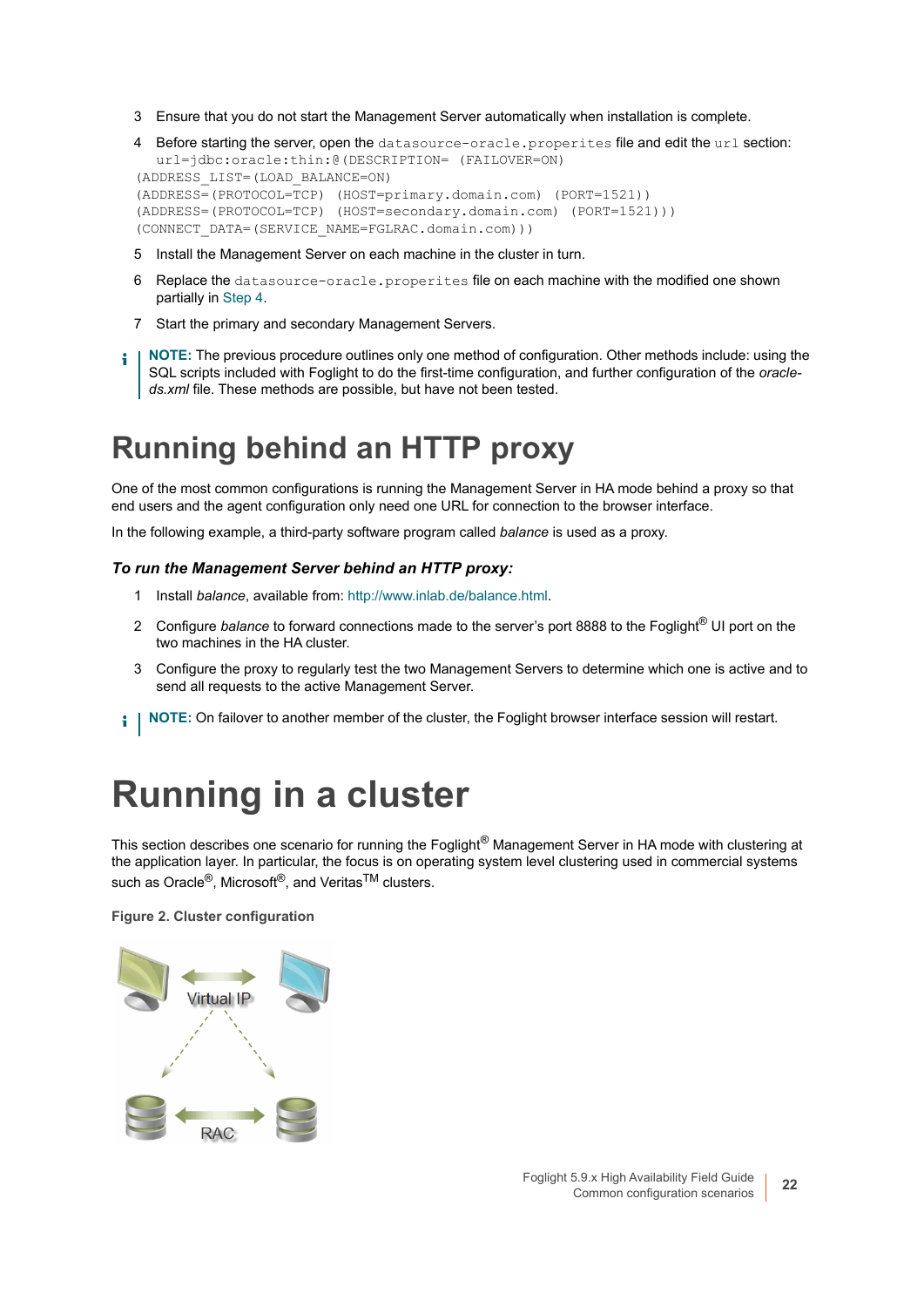3 Ensure that you do not start the Management Server automatically when installation is complete.

```
4 Before starting the server, open the datasource-oracle.properites file and edit the url section:
  url=jdbc:oracle:thin:@(DESCRIPTION= (FAILOVER=ON) 
(ADDRESS_LIST=(LOAD_BALANCE=ON)
(ADDRESS=(PROTOCOL=TCP) (HOST=primary.domain.com) (PORT=1521))
(ADDRESS=(PROTOCOL=TCP) (HOST=secondary.domain.com) (PORT=1521)))
(CONNECT_DATA=(SERVICE_NAME=FGLRAC.domain.com)))
```
- 5 Install the Management Server on each machine in the cluster in turn.
- 6 Replace the datasource-oracle.properites file on each machine with the modified one shown partially in [Step 4.](#page-21-4)
- 7 Start the primary and secondary Management Servers.
- **NOTE:** The previous procedure outlines only one method of configuration. Other methods include: using the ÷ SQL scripts included with Foglight to do the first-time configuration, and further configuration of the *oracleds.xml* file. These methods are possible, but have not been tested.

### <span id="page-21-2"></span><span id="page-21-0"></span>**Running behind an HTTP proxy**

One of the most common configurations is running the Management Server in HA mode behind a proxy so that end users and the agent configuration only need one URL for connection to the browser interface.

In the following example, a third-party software program called *balance* is used as a proxy.

#### *To run the Management Server behind an HTTP proxy:*

- 1 Install *balance*, available from:<http://www.inlab.de/balance.html>.
- 2 Configure *balance* to forward connections made to the server's port 8888 to the Foglight® UI port on the two machines in the HA cluster.
- 3 Configure the proxy to regularly test the two Management Servers to determine which one is active and to send all requests to the active Management Server.
- **NOTE:** On failover to another member of the cluster, the Foglight browser interface session will restart. i I

### <span id="page-21-3"></span><span id="page-21-1"></span>**Running in a cluster**

This section describes one scenario for running the Foglight<sup>®</sup> Management Server in HA mode with clustering at the application layer. In particular, the focus is on operating system level clustering used in commercial systems such as Oracle<sup>®</sup>, Microsoft<sup>®</sup>, and Veritas<sup>TM</sup> clusters.

**Figure 2. Cluster configuration**

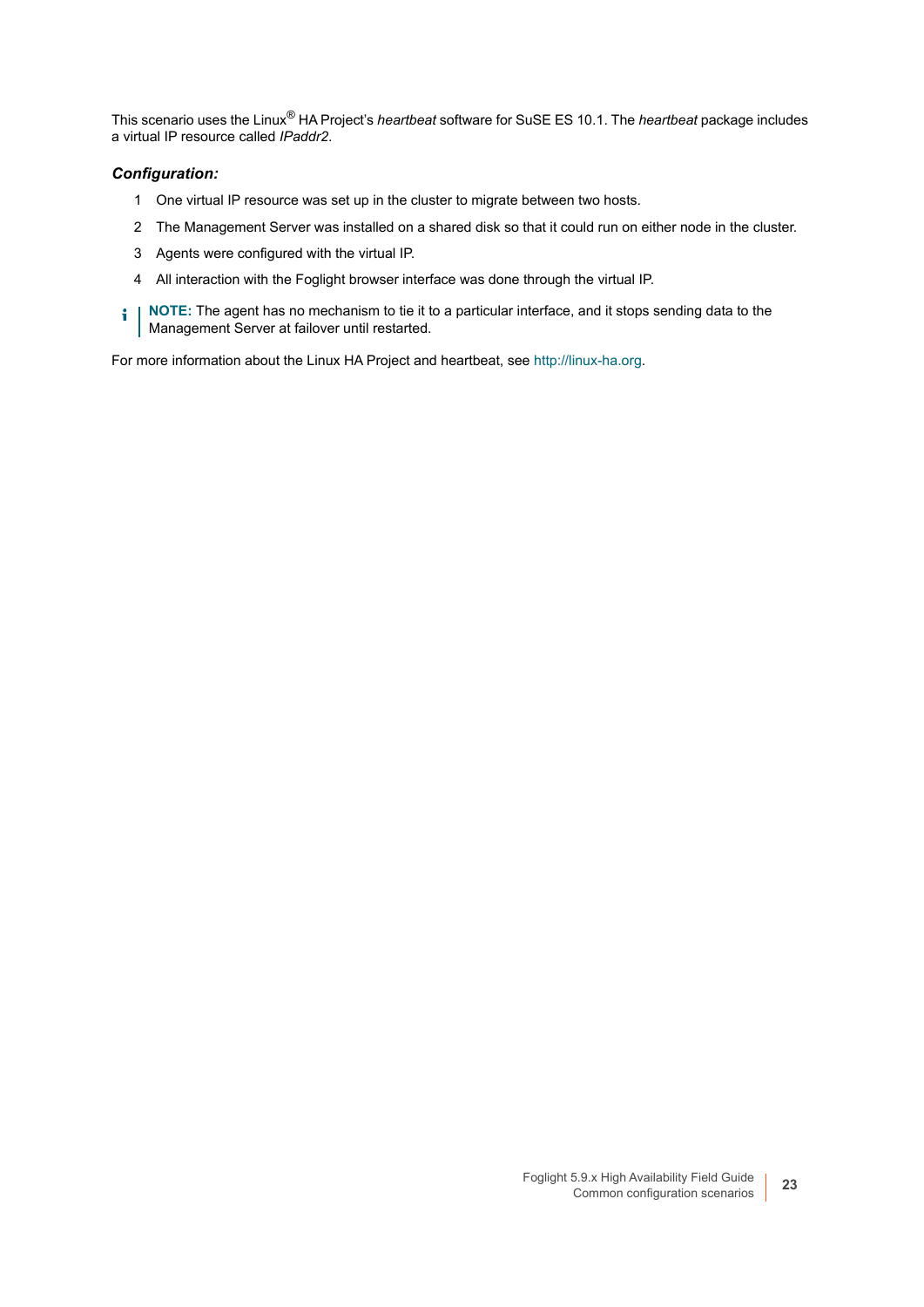This scenario uses the Linux® HA Project's *heartbeat* software for SuSE ES 10.1. The *heartbeat* package includes a virtual IP resource called *IPaddr2*.

#### *Configuration:*

- 1 One virtual IP resource was set up in the cluster to migrate between two hosts.
- 2 The Management Server was installed on a shared disk so that it could run on either node in the cluster.
- 3 Agents were configured with the virtual IP.
- 4 All interaction with the Foglight browser interface was done through the virtual IP.
- **i** | NOTE: The agent has no mechanism to tie it to a particular interface, and it stops sending data to the Management Server at failover until restarted.

For more information about the Linux HA Project and heartbeat, see [http://linux-ha.org.](http://linux-ha.org)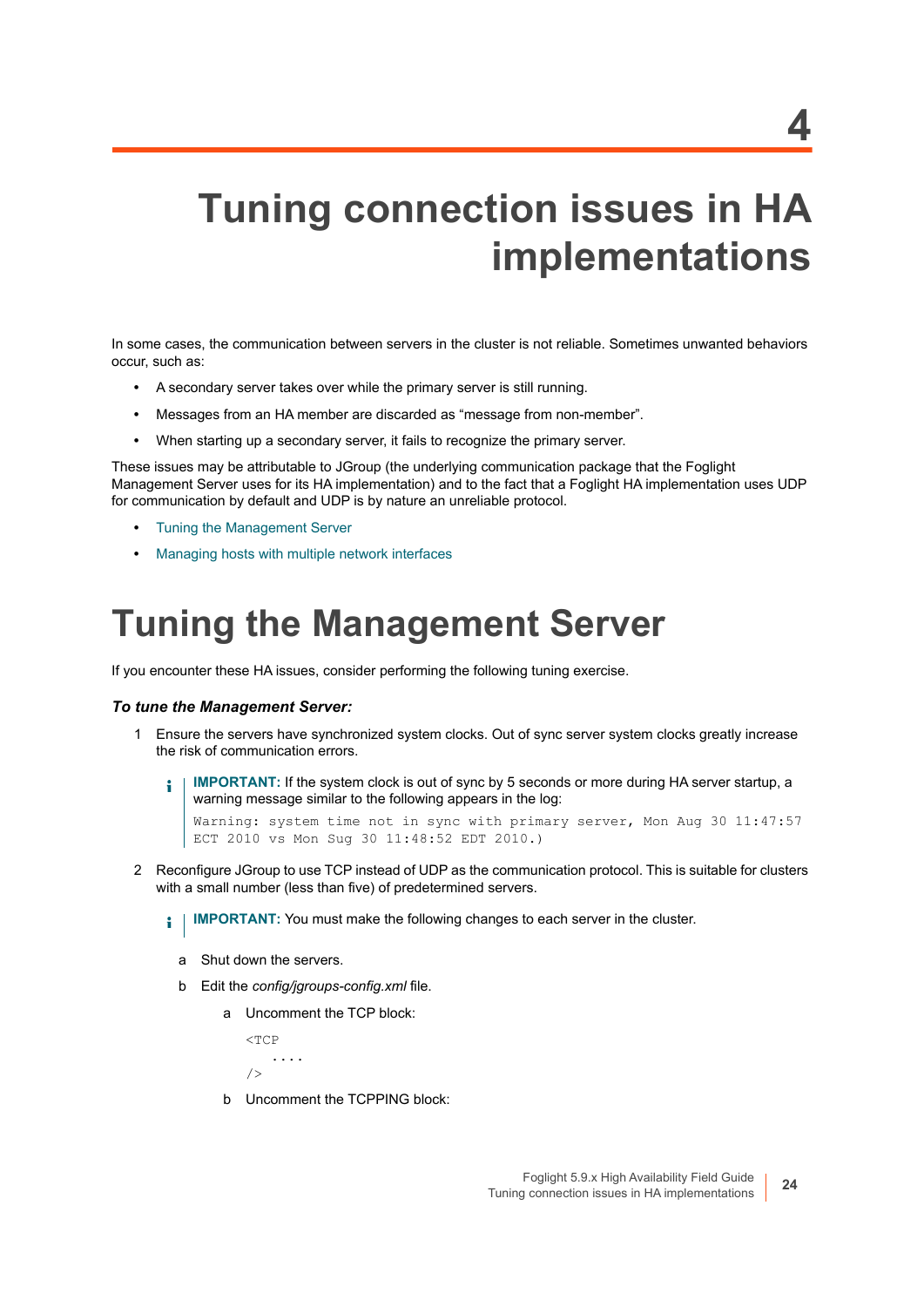# <span id="page-23-2"></span><span id="page-23-0"></span>**Tuning connection issues in HA implementations**

In some cases, the communication between servers in the cluster is not reliable. Sometimes unwanted behaviors occur, such as:

- **•** A secondary server takes over while the primary server is still running.
- **•** Messages from an HA member are discarded as "message from non-member".
- **•** When starting up a secondary server, it fails to recognize the primary server.

These issues may be attributable to JGroup (the underlying communication package that the Foglight Management Server uses for its HA implementation) and to the fact that a Foglight HA implementation uses UDP for communication by default and UDP is by nature an unreliable protocol.

- **•** [Tuning the Management Server](#page-23-1)
- **•** [Managing hosts with multiple network interfaces](#page-24-0)

### <span id="page-23-1"></span>**Tuning the Management Server**

If you encounter these HA issues, consider performing the following tuning exercise.

#### *To tune the Management Server:*

- 1 Ensure the servers have synchronized system clocks. Out of sync server system clocks greatly increase the risk of communication errors.
	- **IMPORTANT:** If the system clock is out of sync by 5 seconds or more during HA server startup, a ÷ warning message similar to the following appears in the log:

Warning: system time not in sync with primary server, Mon Aug 30 11:47:57 ECT 2010 vs Mon Sug 30 11:48:52 EDT 2010.)

2 Reconfigure JGroup to use TCP instead of UDP as the communication protocol. This is suitable for clusters with a small number (less than five) of predetermined servers.

**i** | IMPORTANT: You must make the following changes to each server in the cluster.

- a Shut down the servers.
- b Edit the *config/jgroups-config.xml* file.
	- a Uncomment the TCP block:

 $\angle$ TCP .... />

b Uncomment the TCPPING block: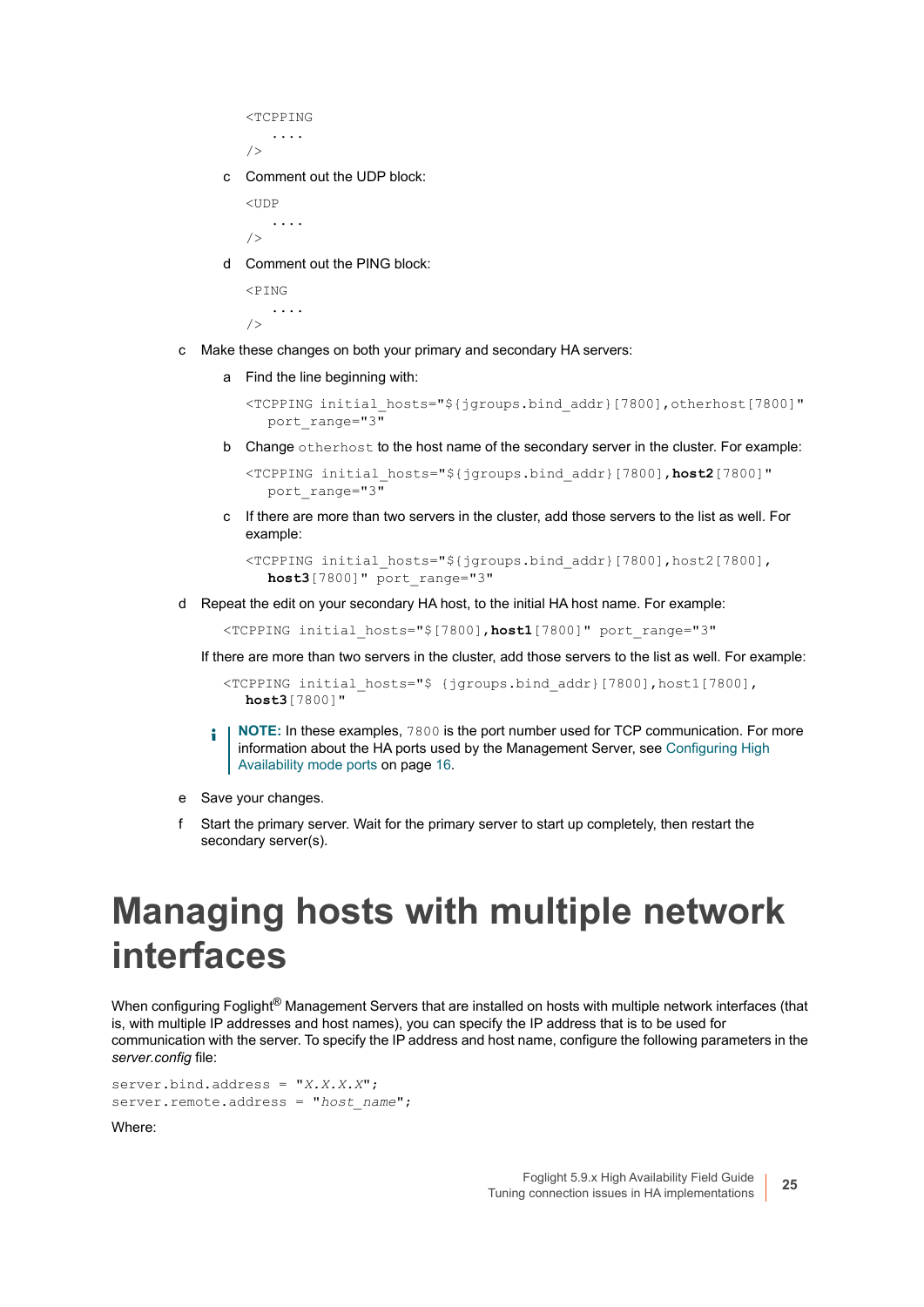```
<TCPPING
    ....
/
```
c Comment out the UDP block:

 $<sub>IIDP</sub>$ </sub> .... />

d Comment out the PING block:

 $\angle$ PTN $G$  ....  $/$ 

- c Make these changes on both your primary and secondary HA servers:
	- a Find the line beginning with:

```
<TCPPING initial_hosts="${jgroups.bind_addr}[7800],otherhost[7800]" 
  port_range="3"
```
b Change otherhost to the host name of the secondary server in the cluster. For example:

<TCPPING initial\_hosts="\${jgroups.bind\_addr}[7800],**host2**[7800]" port\_range="3"

c If there are more than two servers in the cluster, add those servers to the list as well. For example:

```
<TCPPING initial_hosts="${jgroups.bind_addr}[7800],host2[7800],
  host3[7800]" port_range="3"
```
d Repeat the edit on your secondary HA host, to the initial HA host name. For example:

<TCPPING initial\_hosts="\$[7800],**host1**[7800]" port\_range="3"

If there are more than two servers in the cluster, add those servers to the list as well. For example:

<TCPPING initial\_hosts="\$ {jgroups.bind\_addr}[7800],host1[7800], **host3**[7800]"

- **NOTE:** In these examples, 7800 is the port number used for TCP communication. For more ÷ information about the HA ports used by the Management Server, see [Configuring High](#page-15-1)  [Availability mode ports on page 16.](#page-15-1)
- e Save your changes.
- f Start the primary server. Wait for the primary server to start up completely, then restart the secondary server(s).

### <span id="page-24-0"></span>**Managing hosts with multiple network interfaces**

When configuring Foglight<sup>®</sup> Management Servers that are installed on hosts with multiple network interfaces (that is, with multiple IP addresses and host names), you can specify the IP address that is to be used for communication with the server. To specify the IP address and host name, configure the following parameters in the *server.config* file:

```
server.bind.address = "X.X.X.X";
server.remote.address = "host name";
```
Where: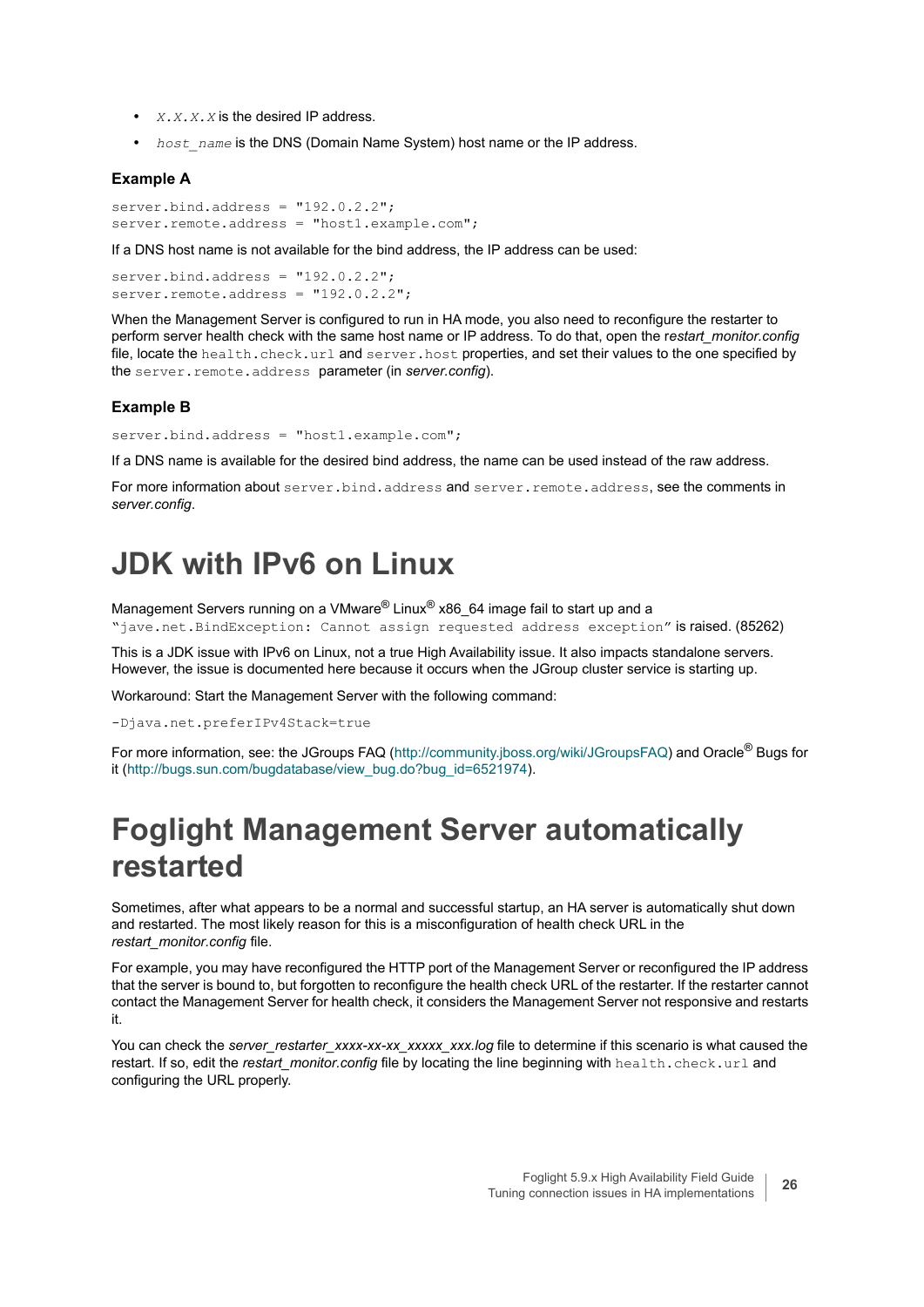- **•** *X.X.X.X* is the desired IP address.
- **•** *host\_name* is the DNS (Domain Name System) host name or the IP address.

#### **Example A**

server.bind.address = "192.0.2.2"; server.remote.address = "host1.example.com";

If a DNS host name is not available for the bind address, the IP address can be used:

 $server.bind.address = "192.0.2.2":$ server.remote.address = "192.0.2.2";

When the Management Server is configured to run in HA mode, you also need to reconfigure the restarter to perform server health check with the same host name or IP address. To do that, open the r*estart\_monitor.config* file, locate the health.check.url and server.host properties, and set their values to the one specified by the server.remote.address parameter (in *server.config*).

#### **Example B**

server.bind.address = "host1.example.com";

If a DNS name is available for the desired bind address, the name can be used instead of the raw address.

For more information about server.bind.address and server.remote.address, see the comments in *server.config*.

### <span id="page-25-2"></span><span id="page-25-0"></span>**JDK with IPv6 on Linux**

Management Servers running on a VMware® Linux® x86\_64 image fail to start up and a "jave.net.BindException: Cannot assign requested address exception" is raised. (85262)

This is a JDK issue with IPv6 on Linux, not a true High Availability issue. It also impacts standalone servers. However, the issue is documented here because it occurs when the JGroup cluster service is starting up.

Workaround: Start the Management Server with the following command:

-Djava.net.preferIPv4Stack=true

For more information, see: the JGroups FAQ [\(http://community.jboss.org/wiki/JGroupsFAQ](http://community.jboss.org/wiki/JGroupsFAQ)) and Oracle<sup>®</sup> Bugs for [it \(h](http://bugs.sun.com/bugdatabase/view_bug.do?bug_id=6521974)ttp://bugs.sun.com/bugdatabase/view\_bug.do?bug\_id=6521974).

### <span id="page-25-1"></span>**Foglight Management Server automatically restarted**

Sometimes, after what appears to be a normal and successful startup, an HA server is automatically shut down and restarted. The most likely reason for this is a misconfiguration of health check URL in the *restart\_monitor.config* file.

For example, you may have reconfigured the HTTP port of the Management Server or reconfigured the IP address that the server is bound to, but forgotten to reconfigure the health check URL of the restarter. If the restarter cannot contact the Management Server for health check, it considers the Management Server not responsive and restarts it.

You can check the *server\_restarter\_xxxx-xx-xx\_xxxxx\_xxx.log* file to determine if this scenario is what caused the restart. If so, edit the *restart\_monitor.config* file by locating the line beginning with health.check.url and configuring the URL properly.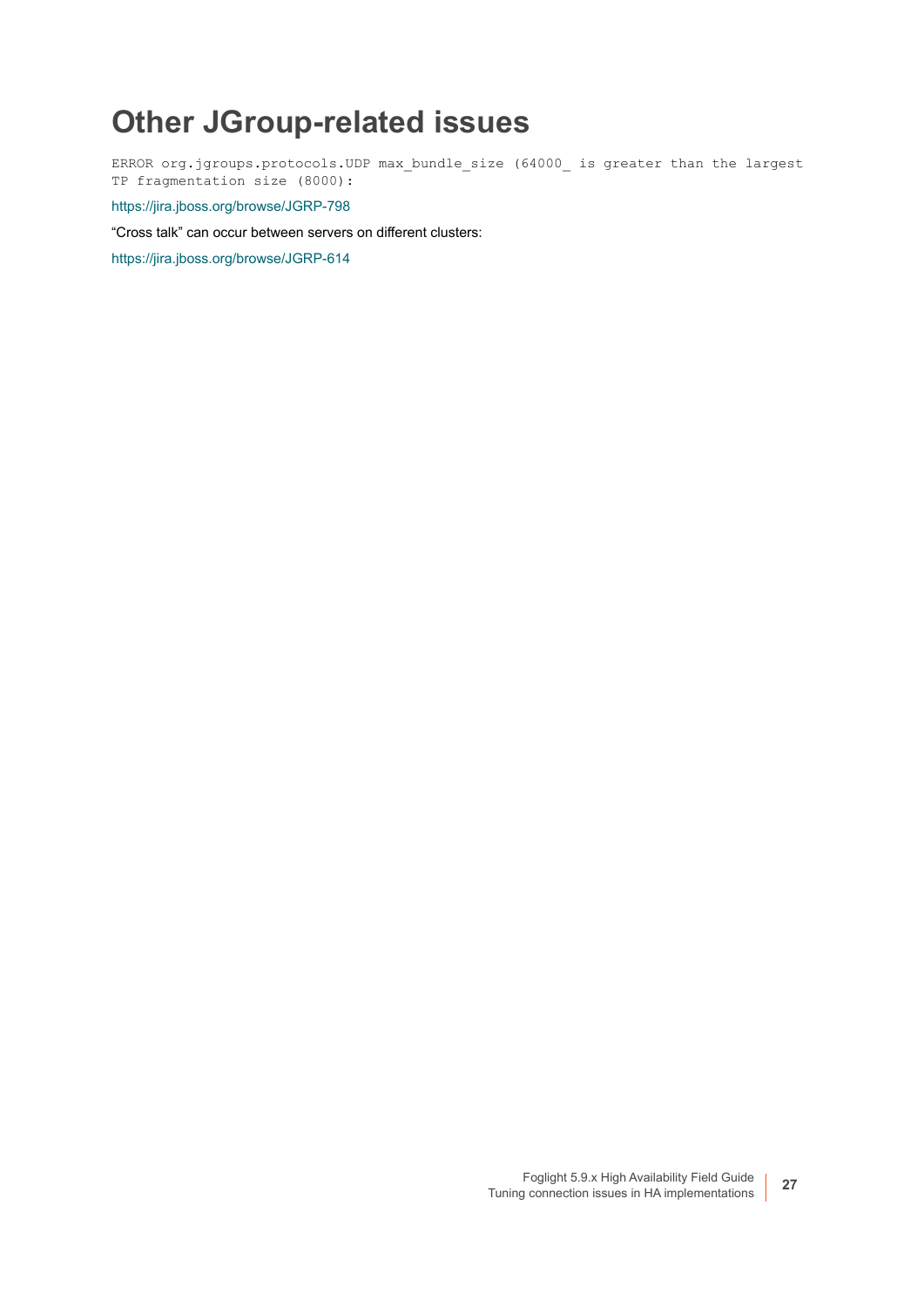### <span id="page-26-0"></span>**Other JGroup-related issues**

ERROR org.jgroups.protocols.UDP max\_bundle\_size (64000\_ is greater than the largest TP fragmentation size (8000):

<https://jira.jboss.org/browse/JGRP-798>

"Cross talk" can occur between servers on different clusters:

<https://jira.jboss.org/browse/JGRP-614>